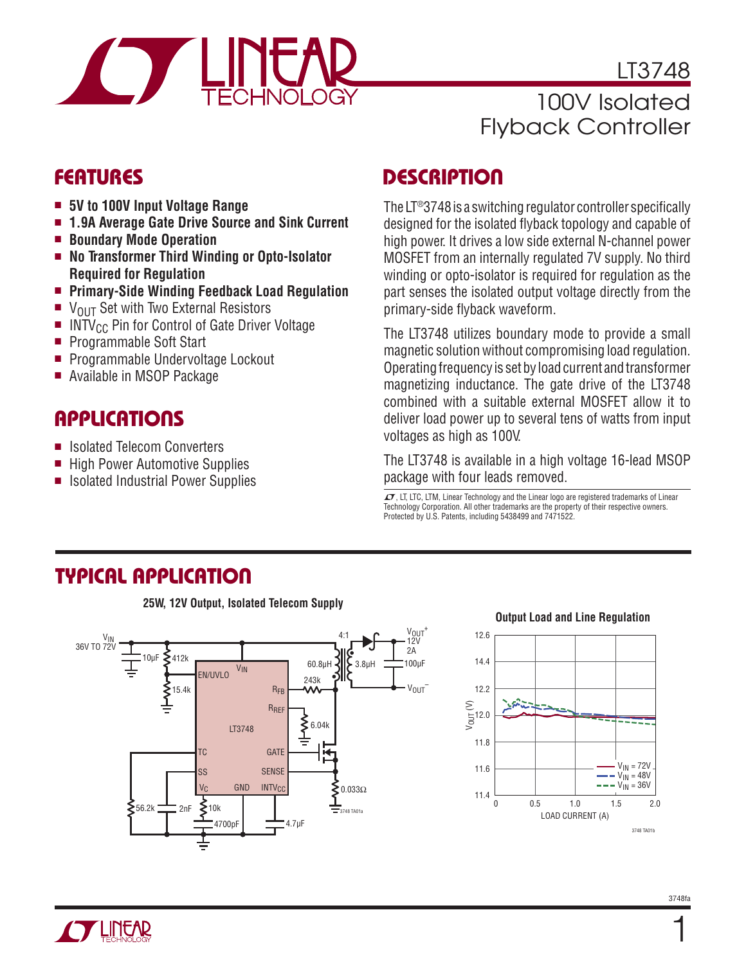

LT3748 100V Isolated Flyback Controller

### **FEATURES**

- 5V to 100V Input Voltage Range
- **n 1.9A Average Gate Drive Source and Sink Current**
- Boundary Mode Operation
- No Transformer Third Winding or Opto-Isolator **Required for Regulation**
- <sup>n</sup> **Primary-Side Winding Feedback Load Regulation**
- $\blacksquare$  V<sub>OUT</sub> Set with Two External Resistors
- INTV<sub>CC</sub> Pin for Control of Gate Driver Voltage<br>Programmable Soft Start
- Programmable Soft Start
- **Programmable Undervoltage Lockout**
- Available in MSOP Package

# **APPLICATIONS**

- Isolated Telecom Converters
- High Power Automotive Supplies
- Isolated Industrial Power Supplies

# **DESCRIPTION**

The LT®3748 is a switching regulator controller specifically designed for the isolated flyback topology and capable of high power. It drives a low side external N-channel power MOSFET from an internally regulated 7V supply. No third winding or opto-isolator is required for regulation as the part senses the isolated output voltage directly from the primary-side flyback waveform.

The LT3748 utilizes boundary mode to provide a small magnetic solution without compromising load regulation. Operating frequency is set by load current and transformer magnetizing inductance. The gate drive of the LT3748 combined with a suitable external MOSFET allow it to deliver load power up to several tens of watts from input voltages as high as 100V.

The LT3748 is available in a high voltage 16-lead MSOP package with four leads removed.

 $\mathcal I$ , LT, LTC, LTM, Linear Technology and the Linear logo are registered trademarks of Linear Technology Corporation. All other trademarks are the property of their respective owners. Protected by U.S. Patents, including 5438499 and 7471522.

# **TYPICAL APPLICATION**

**25W, 12V Output, Isolated Telecom Supply**



#### **Output Load and Line Regulation**





1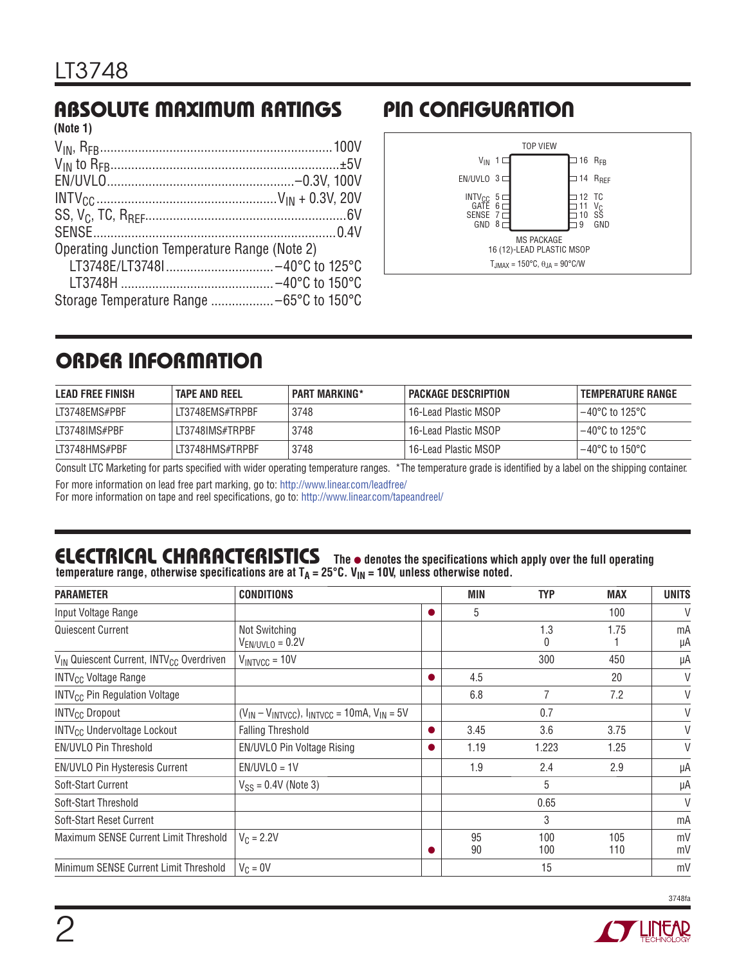#### **ABSOLUTE MAXIMUM RATINGS (Note 1)**

| Operating Junction Temperature Range (Note 2) |  |
|-----------------------------------------------|--|
|                                               |  |
|                                               |  |
|                                               |  |
|                                               |  |

# **PIN CONFIGURATION**



# **ORDER INFORMATION**

| <b>LEAD FREE FINISH</b> | <b>TAPE AND REEL</b> | I PART MARKING* | <b>PACKAGE DESCRIPTION</b> | TEMPERATURE RANGE                   |
|-------------------------|----------------------|-----------------|----------------------------|-------------------------------------|
| LT3748EMS#PBF           | LT3748EMS#TRPBF      | 3748            | 16-Lead Plastic MSOP       | l –40°C to 125°C                    |
| LT3748IMS#PBF           | LT3748IMS#TRPBF      | 3748            | 16-Lead Plastic MSOP       | l –40°C to 125°C                    |
| LT3748HMS#PBF           | LT3748HMS#TRPBF      | 3748            | 16-Lead Plastic MSOP !     | $-40^{\circ}$ C to 150 $^{\circ}$ C |

Consult LTC Marketing for parts specified with wider operating temperature ranges. \*The temperature grade is identified by a label on the shipping container.

For more information on lead free part marking, go to: http://www.linear.com/leadfree/

For more information on tape and reel specifications, go to: http://www.linear.com/tapeandreel/

# **ELECTRICAL CHARACTERISTICS** The  $\bullet$  denotes the specifications which apply over the full operating

temperature range, otherwise specifications are at T<sub>A</sub> = 25°C. V<sub>IN</sub> = 10V, unless otherwise noted.

| <b>PARAMETER</b>                                                 | <b>CONDITIONS</b>                                             |           | <b>MIN</b> | <b>TYP</b> | <b>MAX</b> | <b>UNITS</b> |
|------------------------------------------------------------------|---------------------------------------------------------------|-----------|------------|------------|------------|--------------|
| Input Voltage Range                                              |                                                               | $\bullet$ | 5          |            | 100        | V            |
| Quiescent Current                                                | Not Switching<br>$V_{EN/UVLO} = 0.2V$                         |           |            | 1.3<br>0   | 1.75       | mA<br>μA     |
| V <sub>IN</sub> Quiescent Current, INTV <sub>CC</sub> Overdriven | $V_{INTVCC} = 10V$                                            |           |            | 300        | 450        | μA           |
| <b>INTV<sub>CC</sub></b> Voltage Range                           |                                                               | $\bullet$ | 4.5        |            | 20         | V            |
| <b>INTV<sub>CC</sub></b> Pin Regulation Voltage                  |                                                               |           | 6.8        | 7          | 7.2        | V            |
| <b>INTV<sub>CC</sub></b> Dropout                                 | $(V_{IN} - V_{INTVCC})$ , $I_{INTVCC} = 10$ mA, $V_{IN} = 5V$ |           |            | 0.7        |            | V            |
| <b>INTV<sub>CC</sub></b> Undervoltage Lockout                    | <b>Falling Threshold</b>                                      | 0         | 3.45       | 3.6        | 3.75       | V            |
| <b>EN/UVLO Pin Threshold</b>                                     | EN/UVLO Pin Voltage Rising                                    | $\bullet$ | 1.19       | 1.223      | 1.25       | V            |
| EN/UVLO Pin Hysteresis Current                                   | $EN/UVLO = 1V$                                                |           | 1.9        | 2.4        | 2.9        | μA           |
| Soft-Start Current                                               | $V_{SS} = 0.4V$ (Note 3)                                      |           |            | 5          |            | μA           |
| Soft-Start Threshold                                             |                                                               |           |            | 0.65       |            | $\vee$       |
| Soft-Start Reset Current                                         |                                                               |           |            | 3          |            | mA           |
| Maximum SENSE Current Limit Threshold                            | $V_C = 2.2V$                                                  |           | 95<br>90   | 100<br>100 | 105<br>110 | mV<br>mV     |
| Minimum SENSE Current Limit Threshold                            | $V_C = 0V$                                                    |           |            | 15         |            | mV           |

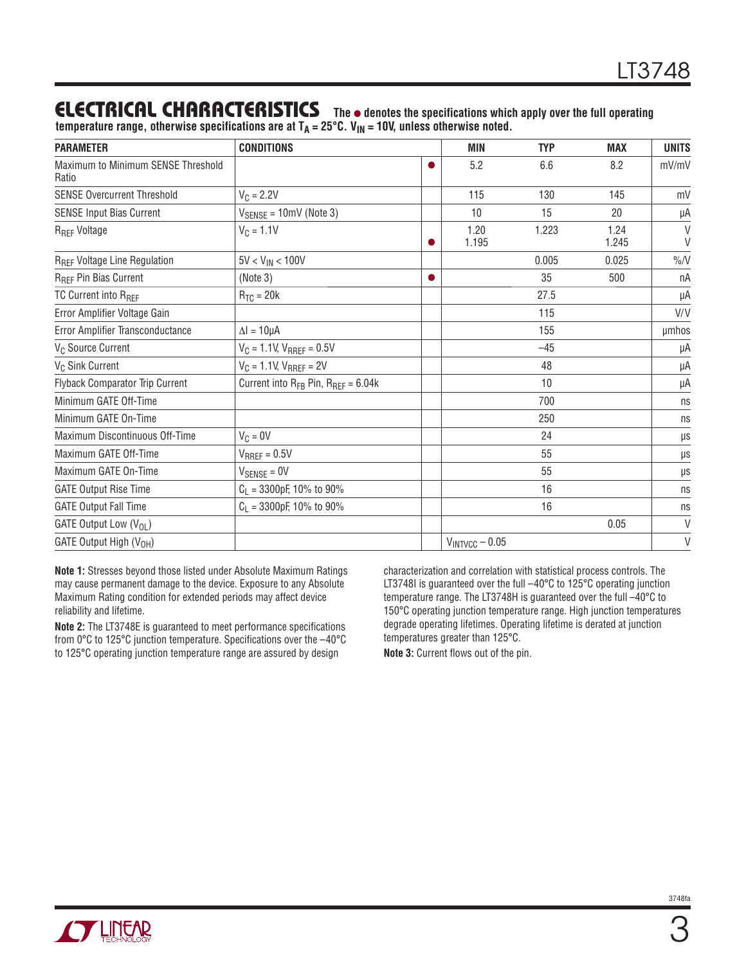### **ELECTRICAL CHARACTERISTICS** The  $\bullet$  denotes the specifications which apply over the full operating

temperature range, otherwise specifications are at T<sub>A</sub> = 25°C. V<sub>IN</sub> = 10V, unless otherwise noted.

| <b>PARAMETER</b>                            | <b>CONDITIONS</b>                           |           | <b>MIN</b>          | <b>TYP</b> | <b>MAX</b>    | <b>UNITS</b>     |
|---------------------------------------------|---------------------------------------------|-----------|---------------------|------------|---------------|------------------|
| Maximum to Minimum SENSE Threshold<br>Ratio |                                             | $\bullet$ | 5.2                 | 6.6        | 8.2           | mV/mV            |
| <b>SENSE Overcurrent Threshold</b>          | $V_C = 2.2V$                                |           | 115                 | 130        | 145           | mV               |
| <b>SENSE Input Bias Current</b>             | $V_{SENSE} = 10mV$ (Note 3)                 |           | 10                  | 15         | 20            | μA               |
| R <sub>REF</sub> Voltage                    | 1.20<br>1.223<br>$V_C = 1.1V$<br>1.195<br>o |           |                     |            | 1.24<br>1.245 | $\vee$<br>$\vee$ |
| R <sub>REF</sub> Voltage Line Regulation    | $5V < V_{IN} < 100V$                        |           |                     | 0.005      | 0.025         | $\%$ /V          |
| R <sub>REF</sub> Pin Bias Current           | (Note 3)                                    |           |                     | 35         | 500           | пA               |
| TC Current into R <sub>RFF</sub>            | $R_{TC} = 20k$                              |           |                     | 27.5       |               | μA               |
| Error Amplifier Voltage Gain                |                                             |           |                     | 115        |               | V/V              |
| Error Amplifier Transconductance            | $\Delta$ l = 10µA                           |           |                     | 155        |               | umhos            |
| V <sub>C</sub> Source Current               | $V_C = 1.1$ V, $V_{RREF} = 0.5V$            |           |                     | $-45$      |               | μA               |
| V <sub>C</sub> Sink Current                 | $V_C = 1.1 V$ , $V_{RREF} = 2V$             |           |                     | 48         |               | μA               |
| Flyback Comparator Trip Current             | Current into RFB Pin, RREF = 6.04k          |           |                     | 10         |               | μA               |
| Minimum GATE Off-Time                       |                                             |           |                     | 700        |               | ns               |
| Minimum GATE On-Time                        |                                             |           |                     | 250        |               | ns               |
| Maximum Discontinuous Off-Time              | $V_C = 0V$                                  |           |                     | 24         |               | $\mu s$          |
| Maximum GATE Off-Time                       | $V_{RREF} = 0.5V$                           |           |                     | 55         |               | μs               |
| Maximum GATE On-Time                        | $V_{\text{SENSE}} = 0V$                     |           |                     | 55         |               | μs               |
| <b>GATE Output Rise Time</b>                | $C_L$ = 3300pF, 10% to 90%                  |           |                     | 16         |               | ns               |
| <b>GATE Output Fall Time</b>                | $C_L$ = 3300pF, 10% to 90%                  |           |                     | 16         |               | ns               |
| GATE Output Low (V <sub>OL</sub> )          |                                             |           |                     |            | 0.05          | V                |
| GATE Output High (V <sub>OH</sub> )         |                                             |           | $V_{INTVCC} - 0.05$ |            |               | $\vee$           |

**Note 1:** Stresses beyond those listed under Absolute Maximum Ratings may cause permanent damage to the device. Exposure to any Absolute Maximum Rating condition for extended periods may affect device reliability and lifetime.

**Note 2:** The LT3748E is guaranteed to meet performance specifications from 0°C to 125°C junction temperature. Specifications over the –40°C to 125°C operating junction temperature range are assured by design

characterization and correlation with statistical process controls. The LT3748I is guaranteed over the full -40°C to 125°C operating junction temperature range. The LT3748H is guaranteed over the full –40°C to 150°C operating junction temperature range. High junction temperatures degrade operating lifetimes. Operating lifetime is derated at junction temperatures greater than 125°C.

**Note 3:** Current flows out of the pin.

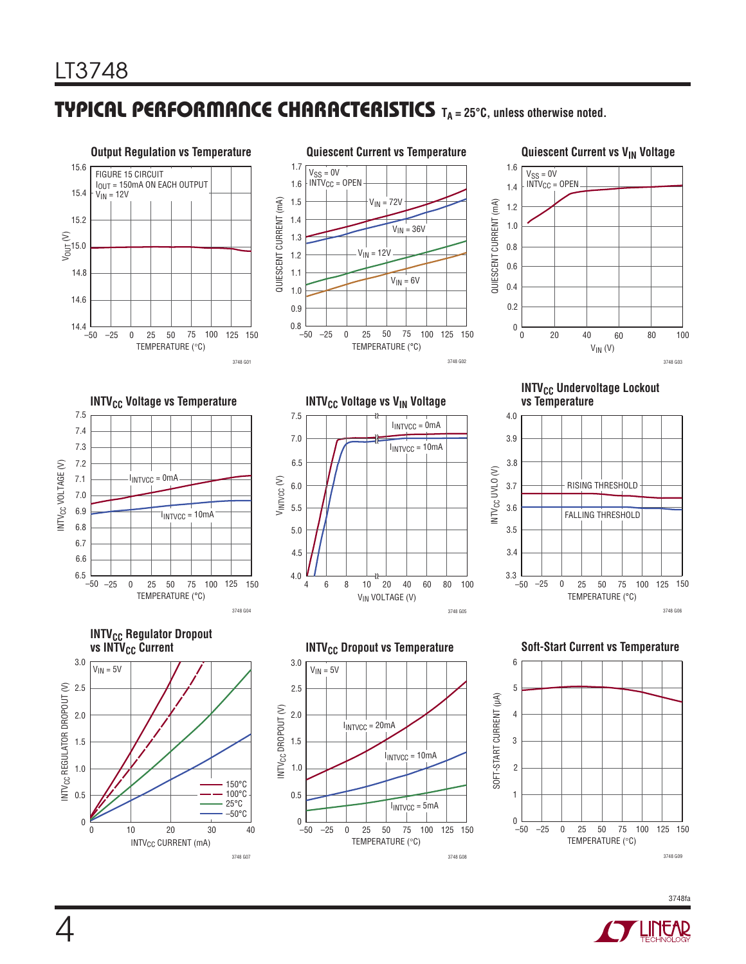### **TYPICAL PERFORMANCE CHARACTERISTICS TA = 25°C, unless otherwise noted.**



#### **Quiescent Current vs V<sub>IN</sub> Voltage**





INTV<sub>CC</sub> CURRENT (mA)

10 20 30 40

3748 G07

 $-50$  $\boldsymbol{0}$ 

0.5

TEMPERATURE (°C)

 $I_{INTVCC} = 5mA$ 

3748 G08

150°C 100°C 25°C  $-50^{\circ}$ C

**INTV<sub>CC</sub>** Undervoltage Lockout vs Temperature









0  $0<sup>2</sup>$ 

0.5

1.0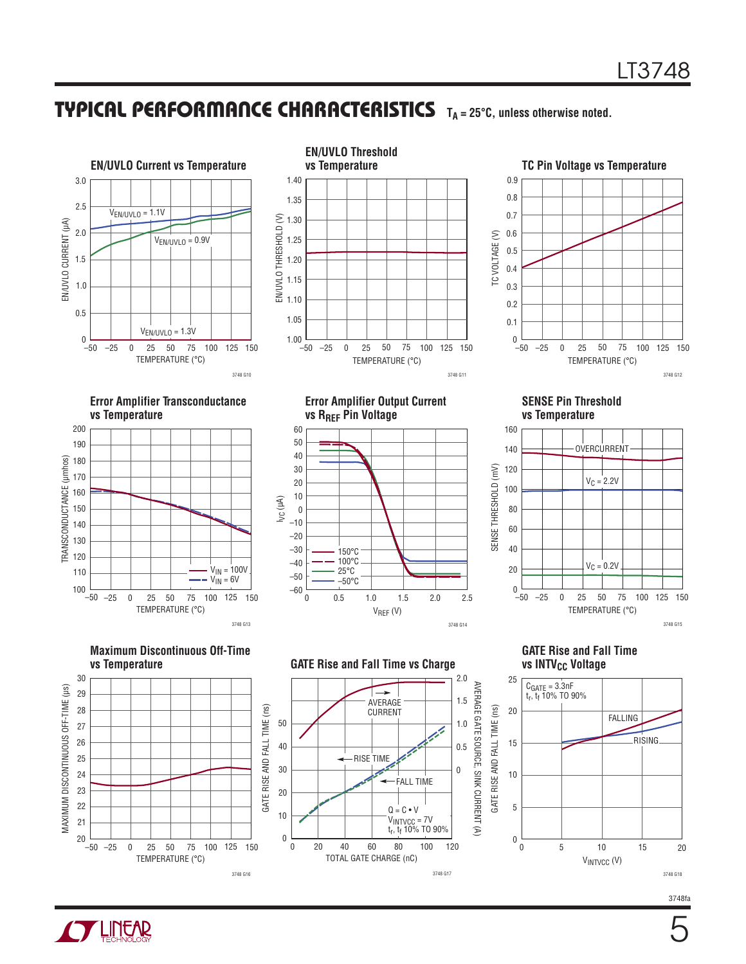### **TYPICAL PERFORMANCE CHARACTERISTICS TA = 25°C, unless otherwise noted.**



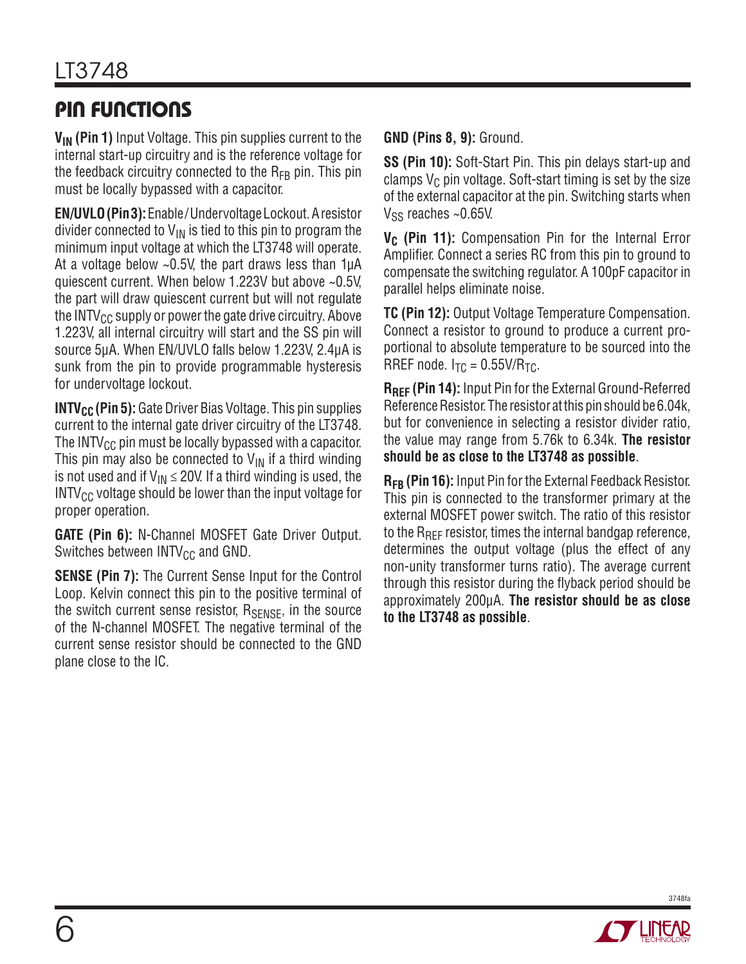# **PIN FUNCTIONS**

**VIN (Pin 1)** Input Voltage. This pin supplies current to the internal start-up circuitry and is the reference voltage for the feedback circuitry connected to the  $R_{FB}$  pin. This pin must be locally bypassed with a capacitor.

**EN/UVLO(Pin 3):** Enable/Undervoltage Lockout. A resistor divider connected to  $V_{IN}$  is tied to this pin to program the minimum input voltage at which the LT3748 will operate. At a voltage below  $\sim$ 0.5V, the part draws less than 1µA quiescent current. When below 1.223V but above ~0.5V, the part will draw quiescent current but will not regulate the INTV $_{CC}$  supply or power the gate drive circuitry. Above 1.223V, all internal circuitry will start and the SS pin will source 5μA. When EN/UVLO falls below 1.223V, 2.4μA is sunk from the pin to provide programmable hysteresis for undervoltage lockout.

**INTV<sub>CC</sub>** (Pin 5): Gate Driver Bias Voltage. This pin supplies current to the internal gate driver circuitry of the LT3748. The INTV $_{\text{CC}}$  pin must be locally bypassed with a capacitor. This pin may also be connected to  $V_{IN}$  if a third winding is not used and if  $V_{IN} \le 20V$ . If a third winding is used, the  $INTV_{CC}$  voltage should be lower than the input voltage for proper operation.

**GATE (Pin 6):** N-Channel MOSFET Gate Driver Output. Switches between  $INTV_{CC}$  and GND.

**SENSE (Pin 7):** The Current Sense Input for the Control Loop. Kelvin connect this pin to the positive terminal of the switch current sense resistor,  $R_{\text{SENSE}}$ , in the source of the N-channel MOSFET. The negative terminal of the current sense resistor should be connected to the GND plane close to the IC.

**GND (Pins 8, 9):** Ground.

**SS (Pin 10):** Soft-Start Pin. This pin delays start-up and clamps  $V_C$  pin voltage. Soft-start timing is set by the size of the external capacitor at the pin. Switching starts when  $V_{SS}$  reaches ~0.65V.

**V<sub>C</sub>** (Pin 11): Compensation Pin for the Internal Error Amplifier. Connect a series RC from this pin to ground to compensate the switching regulator. A 100pF capacitor in parallel helps eliminate noise.

**TC (Pin 12):** Output Voltage Temperature Compensation. Connect a resistor to ground to produce a current proportional to absolute temperature to be sourced into the RREF node.  $I_{TC} = 0.55V/R_{TC}$ .

**RREF (Pin 14):** Input Pin for the External Ground-Referred Reference Resistor. The resistor at this pin should be 6.04k, but for convenience in selecting a resistor divider ratio, the value may range from 5.76k to 6.34k. **The resistor should be as close to the LT3748 as possible**.

**RFB (Pin 16):** Input Pin for the External Feedback Resistor. This pin is connected to the transformer primary at the external MOSFET power switch. The ratio of this resistor to the R<sub>RFF</sub> resistor, times the internal bandgap reference, determines the output voltage (plus the effect of any non-unity transformer turns ratio). The average current through this resistor during the flyback period should be approximately 200μA. **The resistor should be as close to the LT3748 as possible**.



6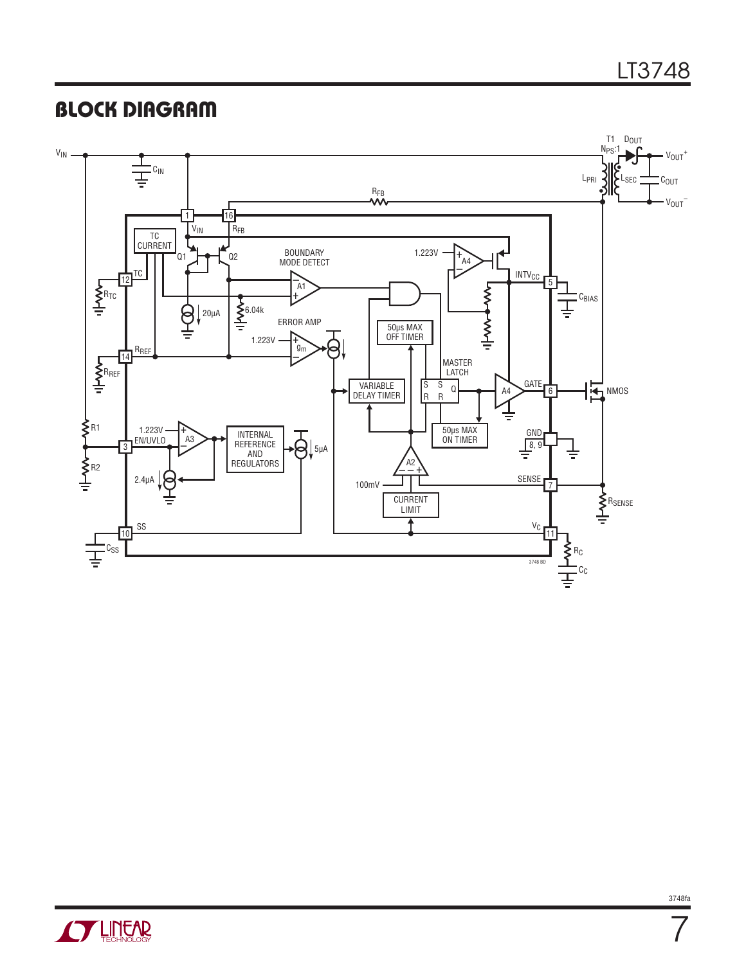# **BLOCK DIAGRAM**





3748fa

7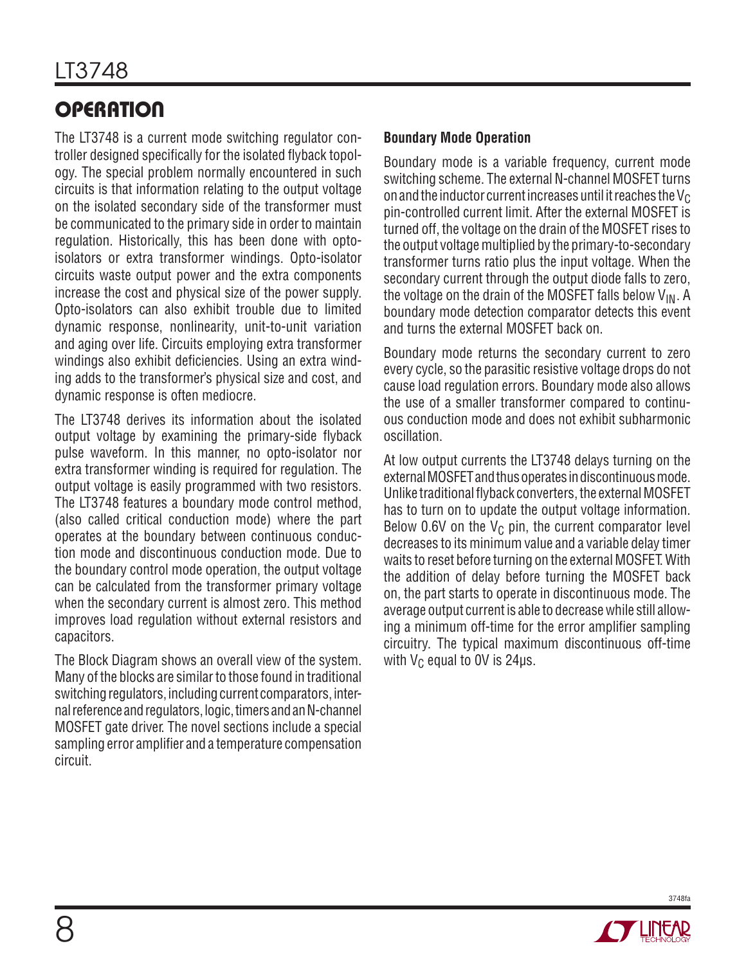# **OPERATION**

The LT3748 is a current mode switching regulator controller designed specifically for the isolated flyback topology. The special problem normally encountered in such circuits is that information relating to the output voltage on the isolated secondary side of the transformer must be communicated to the primary side in order to maintain regulation. Historically, this has been done with optoisolators or extra transformer windings. Opto-isolator circuits waste output power and the extra components increase the cost and physical size of the power supply. Opto-isolators can also exhibit trouble due to limited dynamic response, nonlinearity, unit-to-unit variation and aging over life. Circuits employing extra transformer windings also exhibit deficiencies. Using an extra winding adds to the transformer's physical size and cost, and dynamic response is often mediocre.

The LT3748 derives its information about the isolated output voltage by examining the primary-side flyback pulse waveform. In this manner, no opto-isolator nor extra transformer winding is required for regulation. The output voltage is easily programmed with two resistors. The LT3748 features a boundary mode control method, (also called critical conduction mode) where the part operates at the boundary between continuous conduction mode and discontinuous conduction mode. Due to the boundary control mode operation, the output voltage can be calculated from the transformer primary voltage when the secondary current is almost zero. This method improves load regulation without external resistors and capacitors.

The Block Diagram shows an overall view of the system. Many of the blocks are similar to those found in traditional switching regulators, including current comparators, internal reference and regulators, logic, timers and an N-channel MOSFET gate driver. The novel sections include a special sampling error amplifier and a temperature compensation circuit.

#### **Boundary Mode Operation**

Boundary mode is a variable frequency, current mode switching scheme. The external N-channel MOSFET turns on and the inductor current increases until it reaches the  $V_C$ pin-controlled current limit. After the external MOSFET is turned off, the voltage on the drain of the MOSFET rises to the output voltage multiplied by the primary-to-secondary transformer turns ratio plus the input voltage. When the secondary current through the output diode falls to zero, the voltage on the drain of the MOSFET falls below  $V_{IN}$ . A boundary mode detection comparator detects this event and turns the external MOSFET back on.

Boundary mode returns the secondary current to zero every cycle, so the parasitic resistive voltage drops do not cause load regulation errors. Boundary mode also allows the use of a smaller transformer compared to continuous conduction mode and does not exhibit subharmonic oscillation.

At low output currents the LT3748 delays turning on the external MOSFET and thus operates in discontinuous mode. Unlike traditional flyback converters, the external MOSFET has to turn on to update the output voltage information. Below 0.6V on the  $V_c$  pin, the current comparator level decreases to its minimum value and a variable delay timer waits to reset before turning on the external MOSFET. With the addition of delay before turning the MOSFET back on, the part starts to operate in discontinuous mode. The average output current is able to decrease while still allowing a minimum off-time for the error amplifier sampling circuitry. The typical maximum discontinuous off-time with  $V_C$  equal to 0V is 24 $\mu$ s.

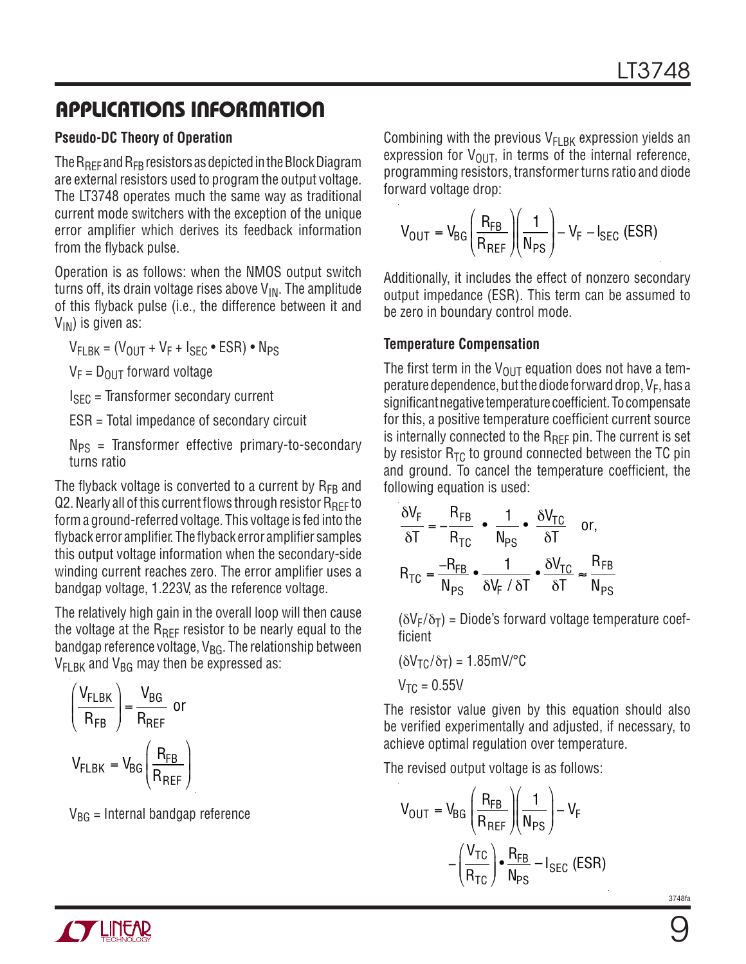#### **Pseudo-DC Theory of Operation**

The  $R_{REF}$  and  $R_{FB}$  resistors as depicted in the Block Diagram are external resistors used to program the output voltage. The LT3748 operates much the same way as traditional current mode switchers with the exception of the unique error amplifier which derives its feedback information from the flyback pulse.

Operation is as follows: when the NMOS output switch turns off, its drain voltage rises above  $V_{IN}$ . The amplitude of this flyback pulse (i.e., the difference between it and  $V_{IN}$ ) is given as:

 $V_{\text{FI BK}} = (V_{\text{OUIT}} + V_{\text{F}} + I_{\text{SFC}} \cdot \text{ESR}) \cdot N_{\text{PS}}$ 

 $V_F = D_{OUT}$  forward voltage

 $I<sub>SEC</sub>$  = Transformer secondary current

ESR = Total impedance of secondary circuit

 $N_{PS}$  = Transformer effective primary-to-secondary turns ratio

The flyback voltage is converted to a current by  $R_{FB}$  and  $Q2$ . Nearly all of this current flows through resistor  $R_{\text{RFF}}$  to form a ground-referred voltage. This voltage is fed into the flyback error amplifier. The flyback error amplifier samples this output voltage information when the secondary-side winding current reaches zero. The error amplifier uses a bandgap voltage, 1.223V, as the reference voltage.

The relatively high gain in the overall loop will then cause the voltage at the  $R_{\text{RFF}}$  resistor to be nearly equal to the bandgap reference voltage,  $V_{BG}$ . The relationship between  $V_{FLBK}$  and  $V_{BG}$  may then be expressed as:

$$
\left(\frac{V_{FLBK}}{R_{FB}}\right) = \frac{V_{BG}}{R_{REF}} \text{ or}
$$

$$
V_{FLBK} = V_{BG} \left(\frac{R_{FB}}{R_{REF}}\right)
$$

 $V_{BG}$  = Internal bandgap reference

Combining with the previous  $V_{FLBK}$  expression yields an expression for  $V_{\text{OUT}}$ , in terms of the internal reference, programming resistors, transformer turns ratio and diode forward voltage drop:

$$
V_{OUT} = V_{BG} \left(\frac{R_{FB}}{R_{REF}}\right) \left(\frac{1}{N_{PS}}\right) - V_F - I_{SEC} (ESR)
$$

Additionally, it includes the effect of nonzero secondary output impedance (ESR). This term can be assumed to be zero in boundary control mode.

#### **Temperature Compensation**

The first term in the  $V_{\text{OUT}}$  equation does not have a temperature dependence, but the diode forward drop,  $V_F$ , has a significant negative temperature coefficient. To compensate for this, a positive temperature coefficient current source is internally connected to the  $R_{RFF}$  pin. The current is set by resistor  $R_{TC}$  to ground connected between the TC pin and ground. To cancel the temperature coefficient, the following equation is used:

$$
\frac{\delta V_F}{\delta T} = -\frac{R_{FB}}{R_{TC}} \cdot \frac{1}{N_{PS}} \cdot \frac{\delta V_{TC}}{\delta T} \text{ or,}
$$

$$
R_{TC} = \frac{-R_{FB}}{N_{PS}} \cdot \frac{1}{\delta V_F / \delta T} \cdot \frac{\delta V_{TC}}{\delta T} \approx \frac{R_{FB}}{N_{PS}}
$$

 $(\delta V_F/\delta_T)$  = Diode's forward voltage temperature coefficient

$$
(\delta V_{TC}/\delta_T) = 1.85 \text{mV} / \text{°C}
$$

$$
V_{TC} = 0.55 \text{V}
$$

The resistor value given by this equation should also be verified experimentally and adjusted, if necessary, to achieve optimal regulation over temperature.

The revised output voltage is as follows:

$$
V_{OUT} = V_{BG} \left(\frac{R_{FB}}{R_{REF}}\right) \left(\frac{1}{N_{PS}}\right) - V_F
$$

$$
-\left(\frac{V_{TC}}{R_{TC}}\right) \bullet \frac{R_{FB}}{N_{PS}} - I_{SEC} (ESR)
$$

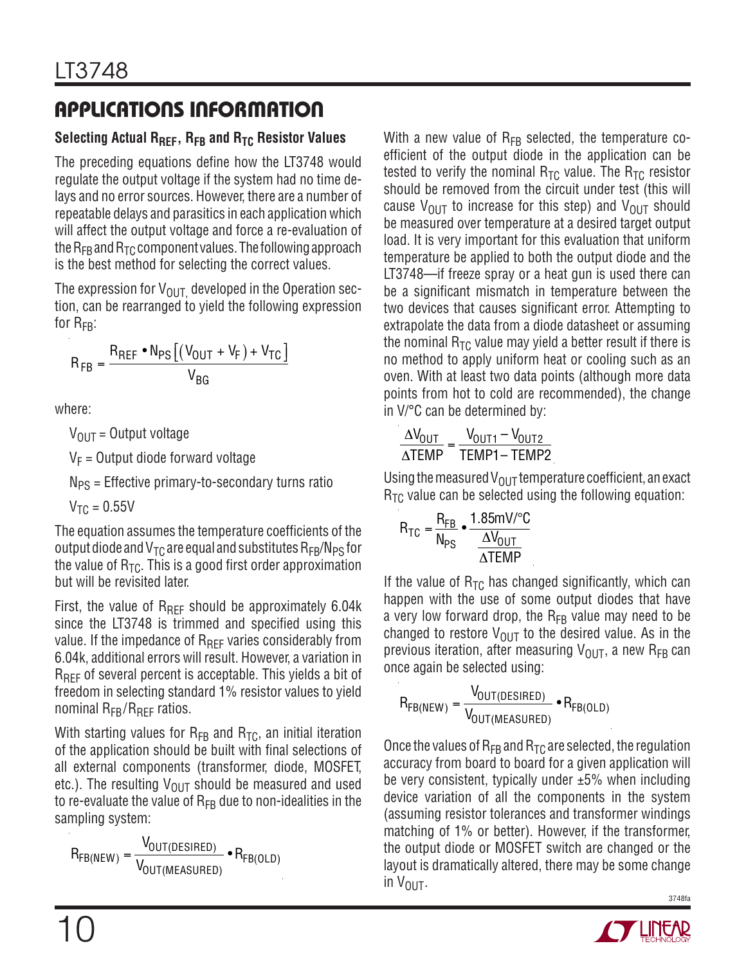#### **Selecting Actual RREF , RFB and RTC Resistor Values**

The preceding equations define how the LT3748 would regulate the output voltage if the system had no time delays and no error sources. However, there are a number of repeatable delays and parasitics in each application which will affect the output voltage and force a re-evaluation of the  $R_{FB}$  and  $R_{TC}$  component values. The following approach is the best method for selecting the correct values.

The expression for  $V_{\text{OUT}}$  developed in the Operation section, can be rearranged to yield the following expression for  $R_{FR}$ :

$$
R_{FB} = \frac{R_{REF} \cdot N_{PS} \left[ \left( V_{OUT} + V_F \right) + V_{TC} \right]}{V_{BG}}
$$

where:

 $V_{\text{OUT}} =$  Output voltage

 $V_F$  = Output diode forward voltage

 $N_{PS}$  = Effective primary-to-secondary turns ratio

 $V_{TC} = 0.55V$ 

The equation assumes the temperature coefficients of the output diode and  $V_{TC}$  are equal and substitutes  $R_{FB}/N_{PS}$  for the value of  $R_{TC}$ . This is a good first order approximation but will be revisited later.

First, the value of  $R_{REF}$  should be approximately 6.04k since the LT3748 is trimmed and specified using this value. If the impedance of  $R_{REF}$  varies considerably from 6.04k, additional errors will result. However, a variation in R<sub>REF</sub> of several percent is acceptable. This yields a bit of freedom in selecting standard 1% resistor values to yield nominal  $R_{FB}/R_{BFF}$  ratios.

With starting values for  $R_{FB}$  and  $R_{TC}$ , an initial iteration of the application should be built with final selections of all external components (transformer, diode, MOSFET, etc.). The resulting  $V_{\text{OUT}}$  should be measured and used to re-evaluate the value of  $R_{FB}$  due to non-idealities in the sampling system:

 $R_{FB(NEW)} = \frac{V_{OUT(DESIRED)}}{V}$ V<sub>OUT(MEASURED)</sub>  $\bullet$   ${\sf R}_{\sf FB({\sf OLD})}$  With a new value of  $R_{FB}$  selected, the temperature coefficient of the output diode in the application can be tested to verify the nominal  $R_{TC}$  value. The  $R_{TC}$  resistor should be removed from the circuit under test (this will cause  $V_{\text{OUT}}$  to increase for this step) and  $V_{\text{OUT}}$  should be measured over temperature at a desired target output load. It is very important for this evaluation that uniform temperature be applied to both the output diode and the LT3748—if freeze spray or a heat gun is used there can be a significant mismatch in temperature between the two devices that causes significant error. Attempting to extrapolate the data from a diode datasheet or assuming the nominal  $R_{TC}$  value may yield a better result if there is no method to apply uniform heat or cooling such as an oven. With at least two data points (although more data points from hot to cold are recommended), the change in V/°C can be determined by:

$$
\frac{\Delta V_{OUT}}{\Delta TEMP} = \frac{V_{OUT1} - V_{OUT2}}{TEMP1 - TEMP2}
$$

Using the measured  $V_{\text{OUT}}$  temperature coefficient, an exact  $R_{TC}$  value can be selected using the following equation:

$$
R_{TC} = \frac{R_{FB}}{N_{PS}} \cdot \frac{1.85 \text{mV}^{\circ}\text{C}}{\frac{\Delta V_{OUT}}{\Delta T \text{EMP}}}
$$

If the value of  $R_{TC}$  has changed significantly, which can happen with the use of some output diodes that have a very low forward drop, the  $R_{FB}$  value may need to be changed to restore  $V_{\text{OUT}}$  to the desired value. As in the previous iteration, after measuring  $V_{\text{OUT}}$ , a new R<sub>FB</sub> can once again be selected using:

$$
R_{FB(NEW)} = \frac{V_{OUT(DESIRED)}}{V_{OUT(MEASURED)}} \cdot R_{FB(OLD)}
$$

Once the values of  $R_{FB}$  and  $R_{TC}$  are selected, the regulation accuracy from board to board for a given application will be very consistent, typically under  $\pm 5\%$  when including device variation of all the components in the system (assuming resistor tolerances and transformer windings matching of 1% or better). However, if the transformer, the output diode or MOSFET switch are changed or the layout is dramatically altered, there may be some change in  $V_{\text{OUT}}$ .

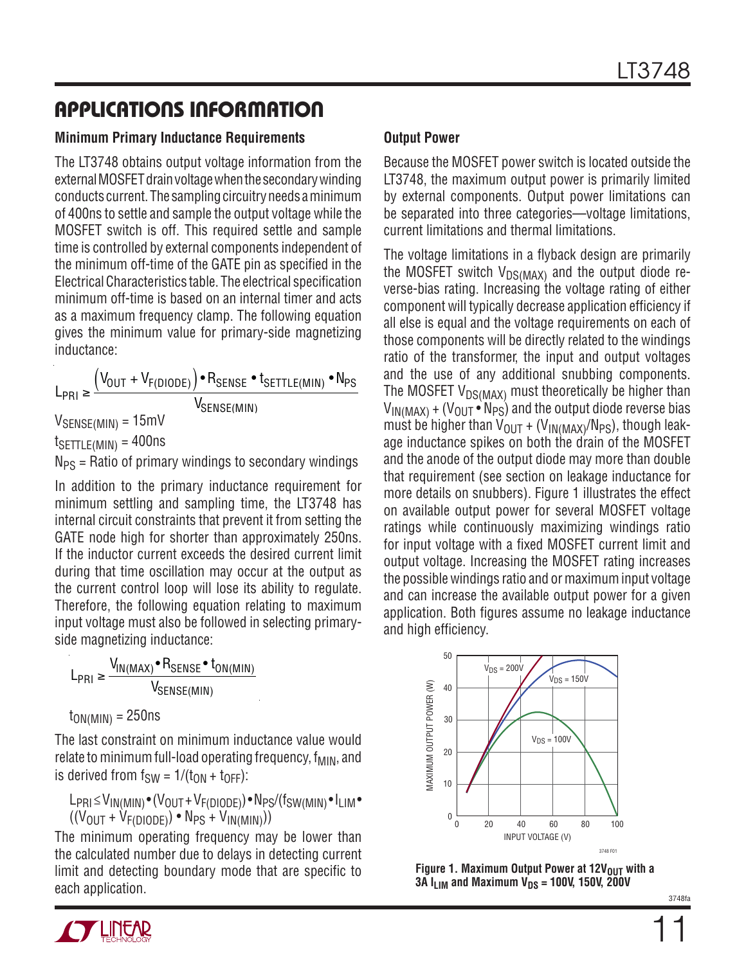#### **Minimum Primary Inductance Requirements**

The LT3748 obtains output voltage information from the external MOSFET drain voltage when the secondary winding conducts current. The sampling circuitry needs a minimum of 400ns to settle and sample the output voltage while the MOSFET switch is off. This required settle and sample time is controlled by external components independent of the minimum off-time of the GATE pin as specified in the Electrical Characteristics table. The electrical specification minimum off-time is based on an internal timer and acts as a maximum frequency clamp. The following equation gives the minimum value for primary-side magnetizing inductance:

 $L_{\text{PRI}} \geq \frac{(V_{\text{OUT}} + V_{\text{F(DIODE)}}) \cdot R_{\text{SENSE}} \cdot t_{\text{SETTLE(MIN)}} \cdot N_{\text{PS}}}{V}$ V<sub>SENSE(MIN)</sub>

 $V_{\text{SENSE(MIN)}} = 15 \text{mV}$ 

 $t$ SETTLE(MIN) = 400ns

 $N_{PS}$  = Ratio of primary windings to secondary windings

In addition to the primary inductance requirement for minimum settling and sampling time, the LT3748 has internal circuit constraints that prevent it from setting the GATE node high for shorter than approximately 250ns. If the inductor current exceeds the desired current limit during that time oscillation may occur at the output as the current control loop will lose its ability to regulate. Therefore, the following equation relating to maximum input voltage must also be followed in selecting primaryside magnetizing inductance:

L<sub>PRI</sub> ≥ V<sub>IN(MAX)</sub> • R<sub>SENSE</sub> • t<sub>ON(MIN)</sub> V<sub>SENSE(MIN)</sub>

$$
t_{ON(MIN)} = 250ns
$$

The last constraint on minimum inductance value would relate to minimum full-load operating frequency,  $f_{\text{MIN}}$ , and is derived from  $f_{SW} = 1/(t_{ON} + t_{OFF})$ :

 $L_{PRI} \leq V_{IN(MIN)} \cdot (V_{OUT} + V_{F(DIODE)}) \cdot N_{PS}/(f_{SW(MIN)} \cdot I_{LIM} \cdot$  $((V<sub>OUT</sub> + V<sub>F(DIODE</sub>)) • N<sub>PS</sub> + V<sub>IN(MIN</sub>)))$ 

The minimum operating frequency may be lower than the calculated number due to delays in detecting current limit and detecting boundary mode that are specific to each application.



Because the MOSFET power switch is located outside the LT3748, the maximum output power is primarily limited by external components. Output power limitations can be separated into three categories—voltage limitations, current limitations and thermal limitations.

The voltage limitations in a flyback design are primarily the MOSFET switch  $V_{DS(MAX)}$  and the output diode reverse-bias rating. Increasing the voltage rating of either component will typically decrease application efficiency if all else is equal and the voltage requirements on each of those components will be directly related to the windings ratio of the transformer, the input and output voltages and the use of any additional snubbing components. The MOSFET  $V_{DS(MAX)}$  must theoretically be higher than  $V_{IN(MAX)} + (V_{OUT} \cdot N_{PS})$  and the output diode reverse bias must be higher than  $V_{OUT}$  + ( $V_{IN(MAX)}/N_{PS}$ ), though leakage inductance spikes on both the drain of the MOSFET and the anode of the output diode may more than double that requirement (see section on leakage inductance for more details on snubbers). Figure 1 illustrates the effect on available output power for several MOSFET voltage ratings while continuously maximizing windings ratio for input voltage with a fixed MOSFET current limit and output voltage. Increasing the MOSFET rating increases the possible windings ratio and or maximum input voltage and can increase the available output power for a given application. Both figures assume no leakage inductance and high efficiency.



**Figure 1. Maximum Output Power at 12V<sub>OUT</sub> with a 3A I<sub>LIM</sub> and Maximum V<sub>DS</sub> = 100V, 150V, 200V**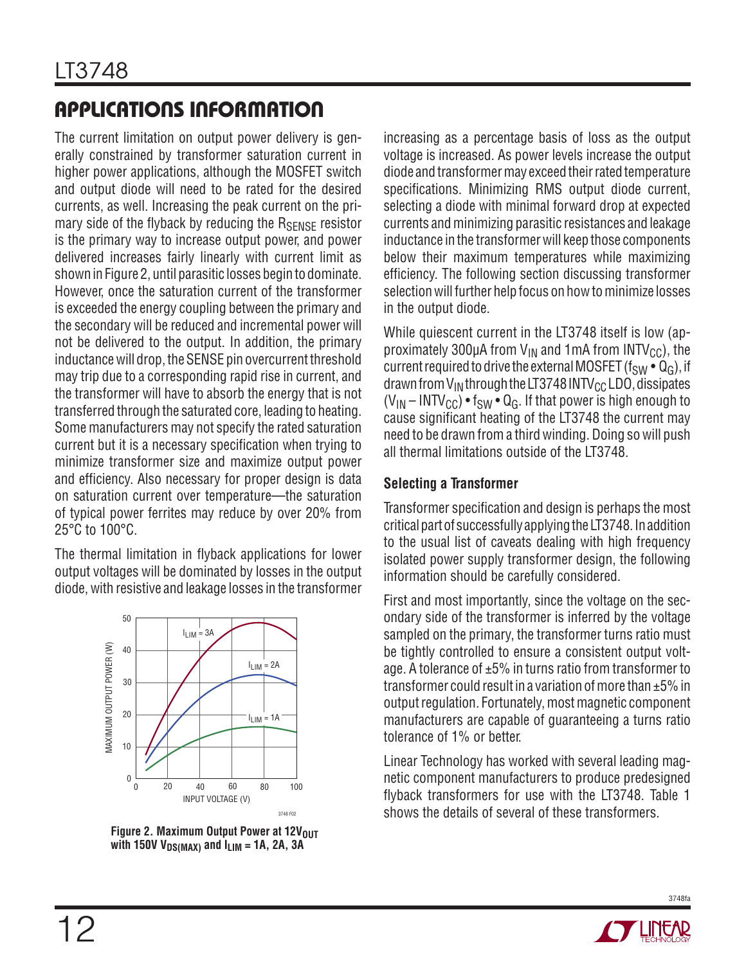The current limitation on output power delivery is generally constrained by transformer saturation current in higher power applications, although the MOSFET switch and output diode will need to be rated for the desired currents, as well. Increasing the peak current on the primary side of the flyback by reducing the  $R_{\text{SENSE}}$  resistor is the primary way to increase output power, and power delivered increases fairly linearly with current limit as shown in Figure 2, until parasitic losses begin to dominate. However, once the saturation current of the transformer is exceeded the energy coupling between the primary and the secondary will be reduced and incremental power will not be delivered to the output. In addition, the primary inductance will drop, the SENSE pin overcurrent threshold may trip due to a corresponding rapid rise in current, and the transformer will have to absorb the energy that is not transferred through the saturated core, leading to heating. Some manufacturers may not specify the rated saturation current but it is a necessary specification when trying to minimize transformer size and maximize output power and efficiency. Also necessary for proper design is data on saturation current over temperature-the saturation of typical power ferrites may reduce by over 20% from 25°C to 100°C.

The thermal limitation in flyback applications for lower output voltages will be dominated by losses in the output diode, with resistive and leakage losses in the transformer



**Figure 2. Maximum Output Power at 12VOUT** with 150V  $V_{DS(MAX)}$  and  $I_{LIM}$  = 1A, 2A, 3A

increasing as a percentage basis of loss as the output voltage is increased. As power levels increase the output diode and transformer may exceed their rated temperature specifications. Minimizing RMS output diode current, selecting a diode with minimal forward drop at expected currents and minimizing parasitic resistances and leakage inductance in the transformer will keep those components below their maximum temperatures while maximizing efficiency. The following section discussing transformer selection will further help focus on how to minimize losses in the output diode.

While quiescent current in the LT3748 itself is low (approximately 300µA from  $V_{IN}$  and 1mA from INTV<sub>CC</sub>), the current required to drive the external MOSFET ( $f_{SW} \cdot Q_G$ ), if drawn from  $V_{IN}$  through the LT3748 INTV<sub>CC</sub> LDO, dissipates  $(V_{IN} - INTV_{CC}) \cdot f_{SW} \cdot Q_G$ . If that power is high enough to cause significant heating of the LT3748 the current may need to be drawn from a third winding. Doing so will push all thermal limitations outside of the LT3748.

#### **Selecting a Transformer**

Transformer specification and design is perhaps the most critical part of successfully applying the LT3748. In addition to the usual list of caveats dealing with high frequency isolated power supply transformer design, the following information should be carefully considered.

First and most importantly, since the voltage on the secondary side of the transformer is inferred by the voltage sampled on the primary, the transformer turns ratio must be tightly controlled to ensure a consistent output voltage. A tolerance of  $\pm 5\%$  in turns ratio from transformer to transformer could result in a variation of more than ±5% in output regulation. Fortunately, most magnetic component manufacturers are capable of guaranteeing a turns ratio tolerance of 1% or better.

Linear Technology has worked with several leading magnetic component manufacturers to produce predesigned flyback transformers for use with the LT3748. Table 1 shows the details of several of these transformers.

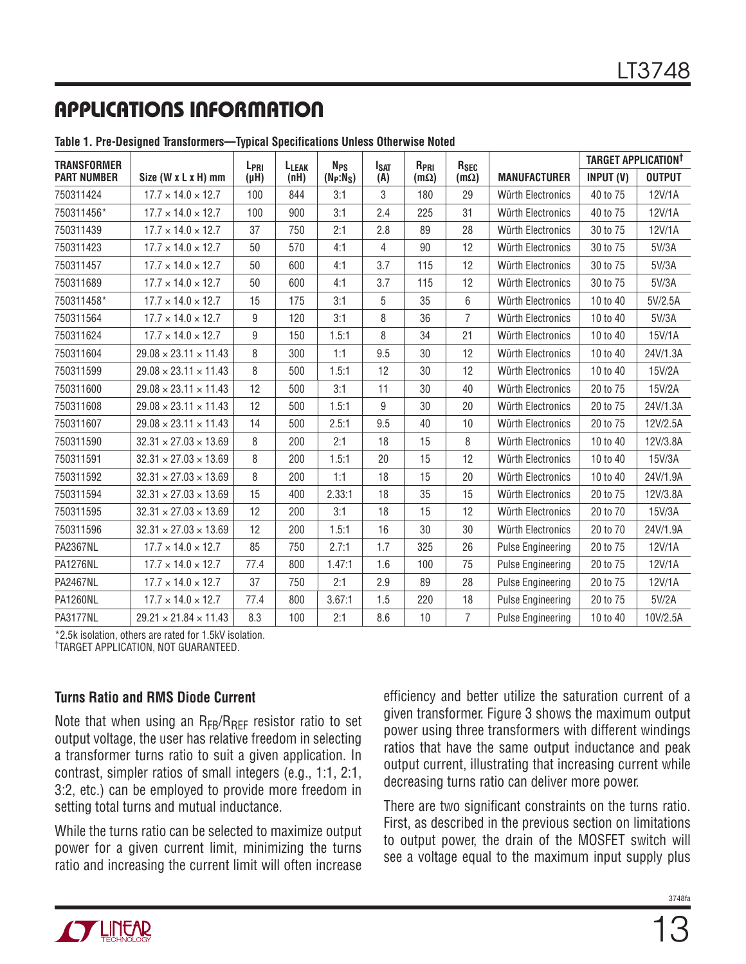| <b>TRANSFORMER</b> |                                   | L <sub>PRI</sub> | L <sub>LEAK</sub> | <b>N<sub>PS</sub></b> | <b>I<sub>SAT</sub></b> | $R_{PRI}$   | R <sub>SEC</sub> |                          | TARGET APPLICATION <sup>†</sup> |               |
|--------------------|-----------------------------------|------------------|-------------------|-----------------------|------------------------|-------------|------------------|--------------------------|---------------------------------|---------------|
| <b>PART NUMBER</b> | Size (W x L x H) mm               | $(\mu H)$        | (nH)              | $(N_P:N_S)$           | (A)                    | $(m\Omega)$ | $(m\Omega)$      | <b>MANUFACTURER</b>      | INPUT (V)                       | <b>OUTPUT</b> |
| 750311424          | $17.7 \times 14.0 \times 12.7$    | 100              | 844               | 3:1                   | 3                      | 180         | 29               | Würth Electronics        | 40 to 75                        | 12V/1A        |
| 750311456*         | $17.7 \times 14.0 \times 12.7$    | 100              | 900               | 3:1                   | 2.4                    | 225         | 31               | Würth Electronics        | 40 to 75                        | 12V/1A        |
| 750311439          | $17.7 \times 14.0 \times 12.7$    | 37               | 750               | 2:1                   | 2.8                    | 89          | 28               | Würth Electronics        | 30 to 75                        | 12V/1A        |
| 750311423          | $17.7 \times 14.0 \times 12.7$    | 50               | 570               | 4:1                   | 4                      | 90          | 12               | Würth Electronics        | 30 to 75                        | 5V/3A         |
| 750311457          | $17.7 \times 14.0 \times 12.7$    | 50               | 600               | 4:1                   | 3.7                    | 115         | 12               | Würth Electronics        | 30 to 75                        | 5V/3A         |
| 750311689          | $17.7 \times 14.0 \times 12.7$    | 50               | 600               | 4:1                   | 3.7                    | 115         | 12               | Würth Electronics        | 30 to 75                        | 5V/3A         |
| 750311458*         | $17.7 \times 14.0 \times 12.7$    | 15               | 175               | 3:1                   | 5                      | 35          | 6                | Würth Electronics        | 10 to 40                        | 5V/2.5A       |
| 750311564          | $17.7 \times 14.0 \times 12.7$    | 9                | 120               | 3:1                   | 8                      | 36          | $\overline{7}$   | Würth Electronics        | 10 to 40                        | 5V/3A         |
| 750311624          | $17.7 \times 14.0 \times 12.7$    | 9                | 150               | 1.5:1                 | 8                      | 34          | 21               | Würth Electronics        | 10 to 40                        | 15V/1A        |
| 750311604          | $29.08 \times 23.11 \times 11.43$ | 8                | 300               | 1:1                   | 9.5                    | 30          | 12               | Würth Electronics        | 10 to 40                        | 24V/1.3A      |
| 750311599          | $29.08 \times 23.11 \times 11.43$ | 8                | 500               | 1.5:1                 | 12                     | 30          | 12               | Würth Electronics        | 10 to 40                        | 15V/2A        |
| 750311600          | $29.08 \times 23.11 \times 11.43$ | 12               | 500               | 3:1                   | 11                     | 30          | 40               | Würth Electronics        | 20 to 75                        | 15V/2A        |
| 750311608          | $29.08 \times 23.11 \times 11.43$ | 12               | 500               | 1.5:1                 | 9                      | 30          | 20               | Würth Electronics        | 20 to 75                        | 24V/1.3A      |
| 750311607          | $29.08 \times 23.11 \times 11.43$ | 14               | 500               | 2.5:1                 | 9.5                    | 40          | 10               | Würth Electronics        | 20 to 75                        | 12V/2.5A      |
| 750311590          | $32.31 \times 27.03 \times 13.69$ | 8                | 200               | 2:1                   | 18                     | 15          | 8                | Würth Electronics        | 10 to 40                        | 12V/3.8A      |
| 750311591          | $32.31 \times 27.03 \times 13.69$ | 8                | 200               | 1.5:1                 | 20                     | 15          | 12               | Würth Electronics        | 10 to 40                        | 15V/3A        |
| 750311592          | $32.31 \times 27.03 \times 13.69$ | 8                | 200               | 1:1                   | 18                     | 15          | 20               | Würth Electronics        | 10 to 40                        | 24V/1.9A      |
| 750311594          | $32.31 \times 27.03 \times 13.69$ | 15               | 400               | 2.33:1                | 18                     | 35          | 15               | Würth Electronics        | 20 to 75                        | 12V/3.8A      |
| 750311595          | $32.31 \times 27.03 \times 13.69$ | 12               | 200               | 3:1                   | 18                     | 15          | 12               | Würth Electronics        | 20 to 70                        | 15V/3A        |
| 750311596          | $32.31 \times 27.03 \times 13.69$ | 12               | 200               | 1.5:1                 | 16                     | 30          | 30               | Würth Electronics        | 20 to 70                        | 24V/1.9A      |
| <b>PA2367NL</b>    | $17.7 \times 14.0 \times 12.7$    | 85               | 750               | 2.7:1                 | 1.7                    | 325         | 26               | <b>Pulse Engineering</b> | 20 to 75                        | 12V/1A        |
| <b>PA1276NL</b>    | $17.7 \times 14.0 \times 12.7$    | 77.4             | 800               | 1.47:1                | 1.6                    | 100         | 75               | <b>Pulse Engineering</b> | 20 to 75                        | 12V/1A        |
| <b>PA2467NL</b>    | $17.7 \times 14.0 \times 12.7$    | 37               | 750               | 2:1                   | 2.9                    | 89          | 28               | <b>Pulse Engineering</b> | 20 to 75                        | 12V/1A        |
| <b>PA1260NL</b>    | $17.7 \times 14.0 \times 12.7$    | 77.4             | 800               | 3.67:1                | 1.5                    | 220         | 18               | <b>Pulse Engineering</b> | 20 to 75                        | 5V/2A         |
| <b>PA3177NL</b>    | $29.21 \times 21.84 \times 11.43$ | 8.3              | 100               | 2:1                   | 8.6                    | 10          | $\overline{7}$   | <b>Pulse Engineering</b> | 10 to 40                        | 10V/2.5A      |

**Table 1. Pre-Designed Transformers—Typical Specifications Unless Otherwise Noted**

\*2.5k isolation, others are rated for 1.5kV isolation. †TARGET APPLICATION, NOT GUARANTEED.

#### **Turns Ratio and RMS Diode Current**

Note that when using an  $R_{FR}/R_{RFF}$  resistor ratio to set output voltage, the user has relative freedom in selecting a transformer turns ratio to suit a given application. In contrast, simpler ratios of small integers (e.g., 1:1, 2:1, 3:2, etc.) can be employed to provide more freedom in setting total turns and mutual inductance.

While the turns ratio can be selected to maximize output power for a given current limit, minimizing the turns ratio and increasing the current limit will often increase

efficiency and better utilize the saturation current of a given transformer. Figure 3 shows the maximum output power using three transformers with different windings ratios that have the same output inductance and peak output current, illustrating that increasing current while decreasing turns ratio can deliver more power.

There are two significant constraints on the turns ratio. First, as described in the previous section on limitations to output power, the drain of the MOSFET switch will see a voltage equal to the maximum input supply plus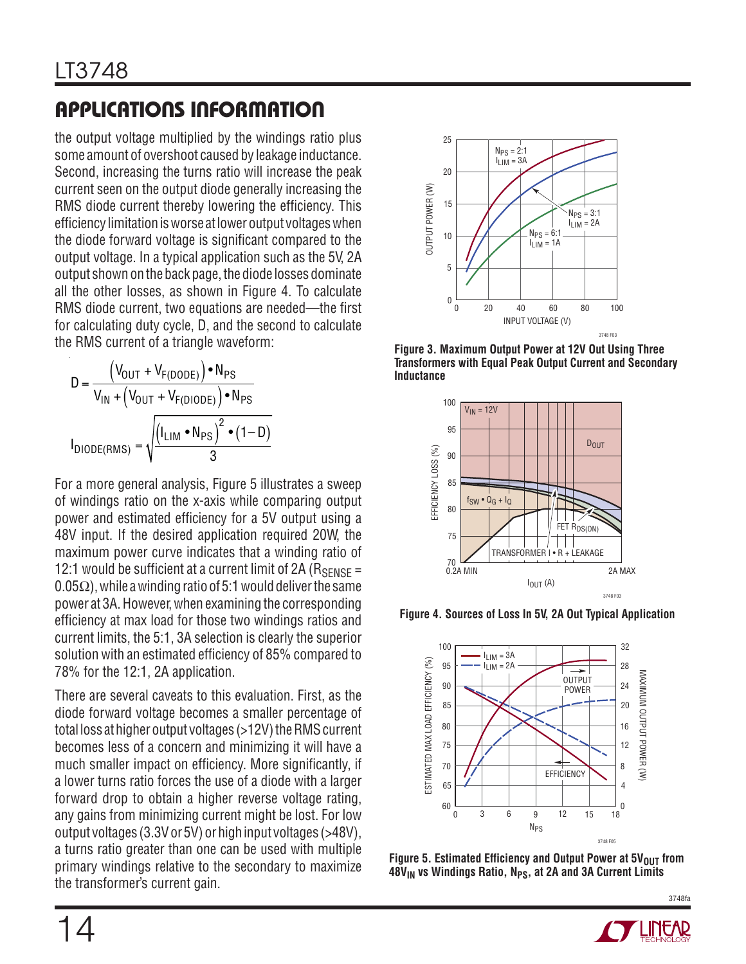the output voltage multiplied by the windings ratio plus some amount of overshoot caused by leakage inductance. Second, increasing the turns ratio will increase the peak current seen on the output diode generally increasing the RMS diode current thereby lowering the efficiency. This efficiency limitation is worse at lower output voltages when the diode forward voltage is significant compared to the output voltage. In a typical application such as the 5V, 2A output shown on the back page, the diode losses dominate all the other losses, as shown in Figure 4. To calculate RMS diode current, two equations are needed—the first for calculating duty cycle, D, and the second to calculate the RMS current of a triangle waveform:

$$
D = \frac{\left(V_{OUT} + V_{F(DODE)}\right) \bullet N_{PS}}{V_{IN} + \left(V_{OUT} + V_{F(DIODE)}\right) \bullet N_{PS}}
$$

$$
I_{DIODE(RMS)} = \sqrt{\frac{\left(I_{LIM} \bullet N_{PS}\right)^{2} \bullet (1 - D)}{3}}
$$

For a more general analysis, Figure 5 illustrates a sweep of windings ratio on the x-axis while comparing output power and estimated efficiency for a 5V output using a 48V input. If the desired application required 20W, the maximum power curve indicates that a winding ratio of 12:1 would be sufficient at a current limit of 2A ( $R_{\text{SENSE}} =$  $0.05\Omega$ ), while a winding ratio of 5:1 would deliver the same power at 3A. However, when examining the corresponding efficiency at max load for those two windings ratios and current limits, the 5:1, 3A selection is clearly the superior solution with an estimated efficiency of 85% compared to 78% for the 12:1, 2A application.

There are several caveats to this evaluation. First, as the diode forward voltage becomes a smaller percentage of total loss at higher output voltages (>12V) the RMS current becomes less of a concern and minimizing it will have a much smaller impact on efficiency. More significantly, if a lower turns ratio forces the use of a diode with a larger forward drop to obtain a higher reverse voltage rating, any gains from minimizing current might be lost. For low output voltages (3.3V or 5V) or high input voltages (>48V), a turns ratio greater than one can be used with multiple primary windings relative to the secondary to maximize the transformer's current gain.



**Figure 3. Maximum Output Power at 12V Out Using Three Transformers with Equal Peak Output Current and Secondary Inductance**



**Figure 4. Sources of Loss In 5V, 2A Out Typical Application**



Figure 5. Estimated Efficiency and Output Power at 5V<sub>OUT</sub> from 48V<sub>IN</sub> vs Windings Ratio, N<sub>PS</sub>, at 2A and 3A Current Limits

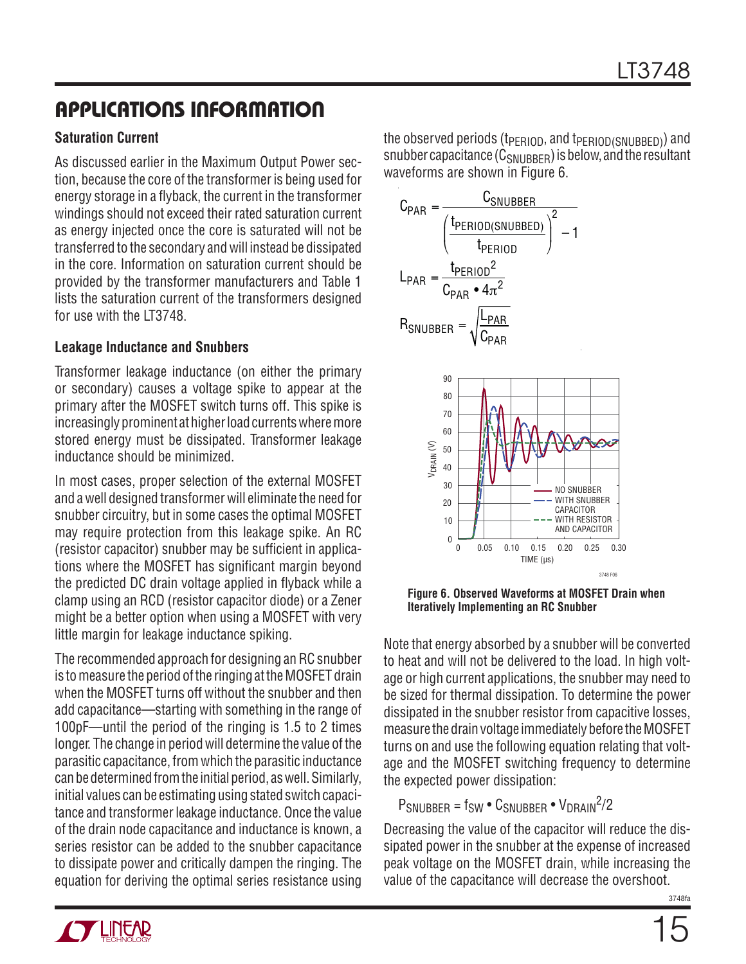#### **Saturation Current**

As discussed earlier in the Maximum Output Power section, because the core of the transformer is being used for energy storage in a flyback, the current in the transformer windings should not exceed their rated saturation current as energy injected once the core is saturated will not be transferred to the secondary and will instead be dissipated in the core. Information on saturation current should be provided by the transformer manufacturers and Table 1 lists the saturation current of the transformers designed for use with the LT3748.

#### **Leakage Inductance and Snubbers**

Transformer leakage inductance (on either the primary or secondary) causes a voltage spike to appear at the primary after the MOSFET switch turns off. This spike is increasingly prominent at higher load currents where more stored energy must be dissipated. Transformer leakage inductance should be minimized.

In most cases, proper selection of the external MOSFET and a well designed transformer will eliminate the need for snubber circuitry, but in some cases the optimal MOSFET may require protection from this leakage spike. An RC (resistor capacitor) snubber may be sufficient in applications where the MOSFET has significant margin beyond the predicted DC drain voltage applied in flyback while a clamp using an RCD (resistor capacitor diode) or a Zener might be a better option when using a MOSFET with very little margin for leakage inductance spiking.

The recommended approach for designing an RC snubber is to measure the period of the ringing at the MOSFET drain when the MOSFET turns off without the snubber and then add capacitance—starting with something in the range of 100pF—until the period of the ringing is 1.5 to 2 times longer. The change in period will determine the value of the parasitic capacitance, from which the parasitic inductance can be determined from the initial period, as well. Similarly, initial values can be estimating using stated switch capacitance and transformer leakage inductance. Once the value of the drain node capacitance and inductance is known, a series resistor can be added to the snubber capacitance to dissipate power and critically dampen the ringing. The equation for deriving the optimal series resistance using

the observed periods (t<sub>PERIOD</sub>, and t<sub>PERIOD(SNUBBED)</sub>) and snubber capacitance  $(C_{SNIIBBER})$  is below, and the resultant waveforms are shown in Figure 6.



**Figure 6. Observed Waveforms at MOSFET Drain when Iteratively Implementing an RC Snubber**

Note that energy absorbed by a snubber will be converted to heat and will not be delivered to the load. In high voltage or high current applications, the snubber may need to be sized for thermal dissipation. To determine the power dissipated in the snubber resistor from capacitive losses, measure the drain voltage immediately before the MOSFET turns on and use the following equation relating that voltage and the MOSFET switching frequency to determine the expected power dissipation:

 $P_{SNUBBER} = f_{SW} \cdot C_{SNUBBER} \cdot V_{DRAIN}^2$ 

Decreasing the value of the capacitor will reduce the dissipated power in the snubber at the expense of increased peak voltage on the MOSFET drain, while increasing the value of the capacitance will decrease the overshoot.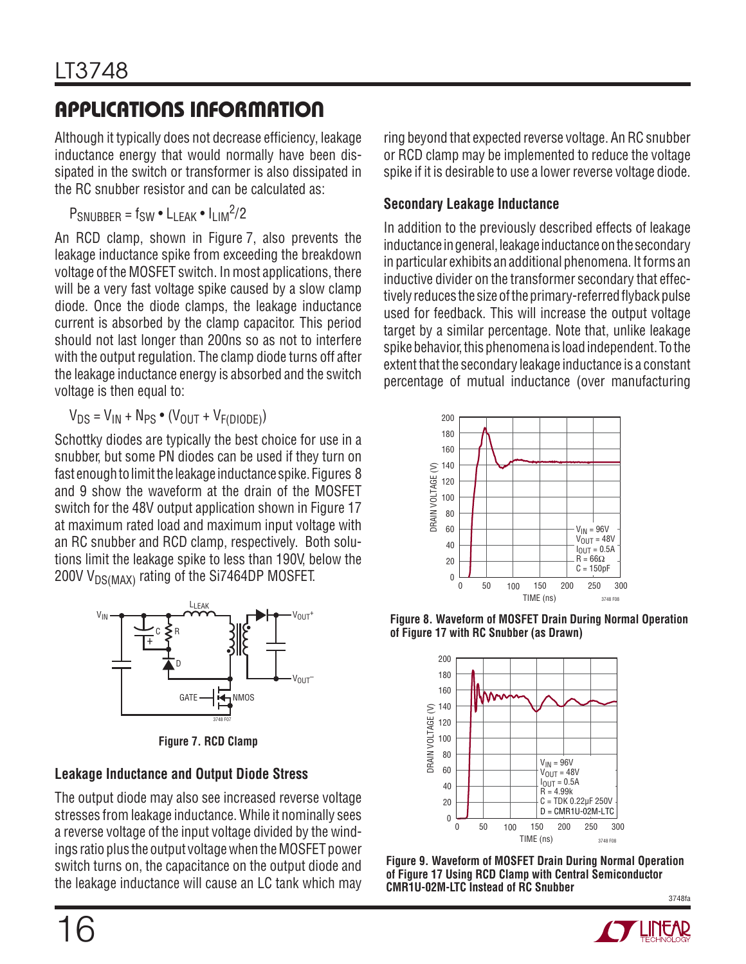Although it typically does not decrease efficiency, leakage inductance energy that would normally have been dissipated in the switch or transformer is also dissipated in the RC snubber resistor and can be calculated as:

 $P_{SNUBBER} = f_{SW} \cdot L_{LEAK} \cdot l_{LIM}^2/2$ 

An RCD clamp, shown in Figure 7, also prevents the leakage inductance spike from exceeding the breakdown voltage of the MOSFET switch. In most applications, there will be a very fast voltage spike caused by a slow clamp diode. Once the diode clamps, the leakage inductance current is absorbed by the clamp capacitor. This period should not last longer than 200ns so as not to interfere with the output regulation. The clamp diode turns off after the leakage inductance energy is absorbed and the switch voltage is then equal to:

 $V_{DS} = V_{IN} + N_{PS} \bullet (V_{OUT} + V_{F(DIODF)})$ 

Schottky diodes are typically the best choice for use in a snubber, but some PN diodes can be used if they turn on fast enough to limit the leakage inductance spike. Figures 8 and 9 show the waveform at the drain of the MOSFET switch for the 48V output application shown in Figure 17 at maximum rated load and maximum input voltage with an RC snubber and RCD clamp, respectively. Both solutions limit the leakage spike to less than 190V, below the 200V V<sub>DS(MAX)</sub> rating of the Si7464DP MOSFET.



**Figure 7. RCD Clamp**

#### **Leakage Inductance and Output Diode Stress**

The output diode may also see increased reverse voltage stresses from leakage inductance. While it nominally sees a reverse voltage of the input voltage divided by the windings ratio plus the output voltage when the MOSFET power switch turns on, the capacitance on the output diode and the leakage inductance will cause an LC tank which may ring beyond that expected reverse voltage. An RC snubber or RCD clamp may be implemented to reduce the voltage spike if it is desirable to use a lower reverse voltage diode.

#### **Secondary Leakage Inductance**

In addition to the previously described effects of leakage inductance in general, leakage inductance on the secondary in particular exhibits an additional phenomena. It forms an inductive divider on the transformer secondary that effectively reduces the size of the primary-referred flyback pulse used for feedback. This will increase the output voltage target by a similar percentage. Note that, unlike leakage spike behavior, this phenomena is load independent. To the extent that the secondary leakage inductance is a constant percentage of mutual inductance (over manufacturing



**Figure 8. Waveform of MOSFET Drain During Normal Operation of Figure 17 with RC Snubber (as Drawn)**



3748fa **Figure 9. Waveform of MOSFET Drain During Normal Operation of Figure 17 Using RCD Clamp with Central Semiconductor CMR1U-02M-LTC Instead of RC Snubber**

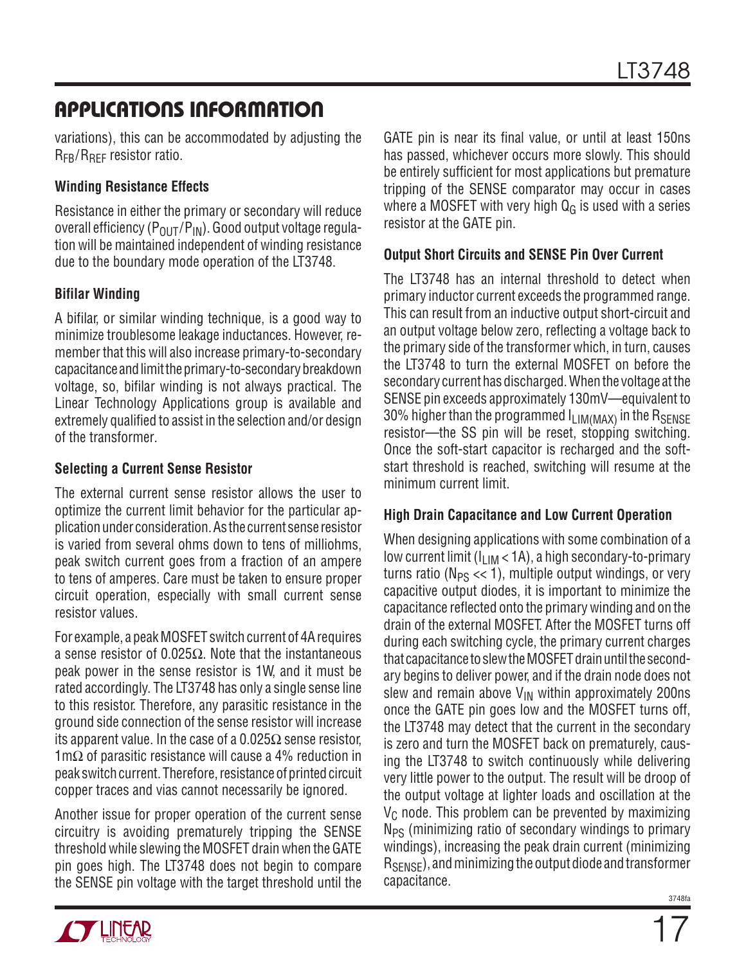variations), this can be accommodated by adjusting the R<sub>FB</sub>/R<sub>RFF</sub> resistor ratio.

#### **Winding Resistance Effects**

Resistance in either the primary or secondary will reduce overall efficiency  $(P_{OUT}/P_{IN})$ . Good output voltage regulation will be maintained independent of winding resistance due to the boundary mode operation of the LT3748.

#### **Bifilar Winding**

A bifilar, or similar winding technique, is a good way to minimize troublesome leakage inductances. However, remember that this will also increase primary-to-secondary capacitance and limit the primary-to-secondary breakdown voltage, so, bifilar winding is not always practical. The Linear Technology Applications group is available and extremely qualified to assist in the selection and/or design of the transformer.

#### **Selecting a Current Sense Resistor**

The external current sense resistor allows the user to optimize the current limit behavior for the particular application under consideration. As the current sense resistor is varied from several ohms down to tens of milliohms, peak switch current goes from a fraction of an ampere to tens of amperes. Care must be taken to ensure proper circuit operation, especially with small current sense resistor values.

For example, a peak MOSFET switch current of 4A requires a sense resistor of 0.025 $\Omega$ . Note that the instantaneous peak power in the sense resistor is 1W, and it must be rated accordingly. The LT3748 has only a single sense line to this resistor. Therefore, any parasitic resistance in the ground side connection of the sense resistor will increase its apparent value. In the case of a  $0.025\Omega$  sense resistor, 1mΩ of parasitic resistance will cause a 4% reduction in peak switch current. Therefore, resistance of printed circuit copper traces and vias cannot necessarily be ignored.

Another issue for proper operation of the current sense circuitry is avoiding prematurely tripping the SENSE threshold while slewing the MOSFET drain when the GATE pin goes high. The LT3748 does not begin to compare the SENSE pin voltage with the target threshold until the GATE pin is near its final value, or until at least 150ns has passed, whichever occurs more slowly. This should be entirely sufficient for most applications but premature tripping of the SENSE comparator may occur in cases where a MOSFET with very high  $Q_G$  is used with a series resistor at the GATE pin.

#### **Output Short Circuits and SENSE Pin Over Current**

The LT3748 has an internal threshold to detect when primary inductor current exceeds the programmed range. This can result from an inductive output short-circuit and an output voltage below zero, reflecting a voltage back to the primary side of the transformer which, in turn, causes the LT3748 to turn the external MOSFET on before the secondary current has discharged. When the voltage at the SENSE pin exceeds approximately 130mV—equivalent to 30% higher than the programmed  $I_{\text{LIM}(\text{MAX})}$  in the R<sub>SENSE</sub> resistor—the SS pin will be reset, stopping switching. Once the soft-start capacitor is recharged and the softstart threshold is reached, switching will resume at the minimum current limit.

#### **High Drain Capacitance and Low Current Operation**

When designing applications with some combination of a low current limit  $(I<sub>LIM</sub> < 1A)$ , a high secondary-to-primary turns ratio ( $N_{PS} \ll 1$ ), multiple output windings, or very capacitive output diodes, it is important to minimize the capacitance reflected onto the primary winding and on the drain of the external MOSFET. After the MOSFET turns off during each switching cycle, the primary current charges that capacitance to slew the MOSFET drain until the secondary begins to deliver power, and if the drain node does not slew and remain above  $V_{IN}$  within approximately 200ns once the GATE pin goes low and the MOSFET turns off, the LT3748 may detect that the current in the secondary is zero and turn the MOSFET back on prematurely, causing the LT3748 to switch continuously while delivering very little power to the output. The result will be droop of the output voltage at lighter loads and oscillation at the  $V<sub>C</sub>$  node. This problem can be prevented by maximizing  $N_{PS}$  (minimizing ratio of secondary windings to primary windings), increasing the peak drain current (minimizing RSENSE), and minimizing the output diode and transformer capacitance.

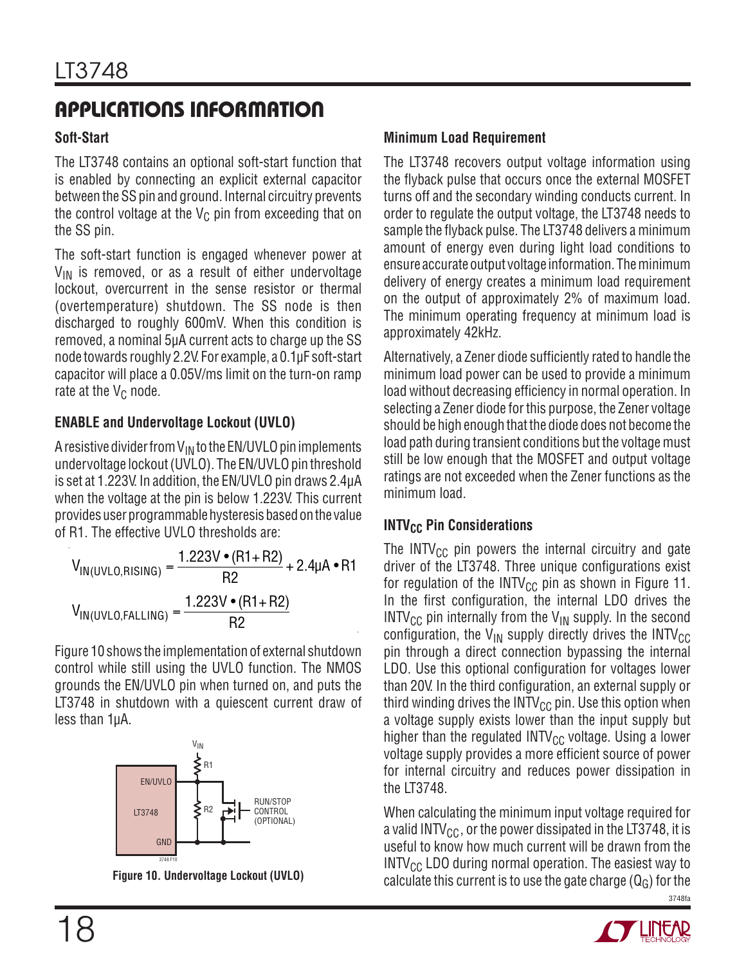#### **Soft-Start**

The LT3748 contains an optional soft-start function that is enabled by connecting an explicit external capacitor between the SS pin and ground. Internal circuitry prevents the control voltage at the  $V_C$  pin from exceeding that on the SS pin.

The soft-start function is engaged whenever power at  $V_{IN}$  is removed, or as a result of either undervoltage lockout, overcurrent in the sense resistor or thermal (overtemperature) shutdown. The SS node is then discharged to roughly 600mV. When this condition is removed, a nominal 5μA current acts to charge up the SS node towards roughly 2.2V. For example, a 0.1μF soft-start capacitor will place a 0.05V/ms limit on the turn-on ramp rate at the  $V_C$  node.

#### **ENABLE and Undervoltage Lockout (UVLO)**

A resistive divider from  $V_{IN}$  to the EN/UVLO pin implements undervoltage lockout (UVLO). The EN/UVLO pin threshold is set at 1.223V. In addition, the EN/UVLO pin draws 2.4μA when the voltage at the pin is below 1.223V. This current provides user programmable hysteresis based on the value of R1. The effective UVLO thresholds are:

$$
V_{IN(UVLO,RISING)} = \frac{1.223V \cdot (R1 + R2)}{R2} + 2.4\mu A \cdot R1
$$

$$
V_{IN(UVLO, FALLING)} = \frac{1.223V \cdot (R1 + R2)}{R2}
$$

Figure 10 shows the implementation of external shutdown control while still using the UVLO function. The NMOS grounds the EN/UVLO pin when turned on, and puts the LT3748 in shutdown with a quiescent current draw of less than 1μA.



**Figure 10. Undervoltage Lockout (UVLO)**

#### **Minimum Load Requirement**

The LT3748 recovers output voltage information using the flyback pulse that occurs once the external MOSFET turns off and the secondary winding conducts current. In order to regulate the output voltage, the LT3748 needs to sample the flyback pulse. The LT3748 delivers a minimum amount of energy even during light load conditions to ensure accurate output voltage information. The minimum delivery of energy creates a minimum load requirement on the output of approximately 2% of maximum load. The minimum operating frequency at minimum load is approximately 42kHz.

Alternatively, a Zener diode sufficiently rated to handle the minimum load power can be used to provide a minimum load without decreasing efficiency in normal operation. In selecting a Zener diode for this purpose, the Zener voltage should be high enough that the diode does not become the load path during transient conditions but the voltage must still be low enough that the MOSFET and output voltage ratings are not exceeded when the Zener functions as the minimum load.

#### **INTV<sub>CC</sub>** Pin Considerations

The INTV $_{\text{CC}}$  pin powers the internal circuitry and gate driver of the LT3748. Three unique configurations exist for regulation of the INTV<sub>CC</sub> pin as shown in Figure 11. In the first configuration, the internal LDO drives the  $INTV_{CC}$  pin internally from the  $V_{IN}$  supply. In the second configuration, the  $V_{IN}$  supply directly drives the INTV<sub>CC</sub> pin through a direct connection bypassing the internal LDO. Use this optional configuration for voltages lower than 20V. In the third configuration, an external supply or third winding drives the INTV $_{\text{CC}}$  pin. Use this option when a voltage supply exists lower than the input supply but higher than the regulated  $INTV_{CC}$  voltage. Using a lower voltage supply provides a more efficient source of power for internal circuitry and reduces power dissipation in the LT3748.

3748fa When calculating the minimum input voltage required for a valid INTV<sub>CC</sub>, or the power dissipated in the LT3748, it is useful to know how much current will be drawn from the  $INTV_{CC}$  LDO during normal operation. The easiest way to calculate this current is to use the gate charge  $(Q_G)$  for the

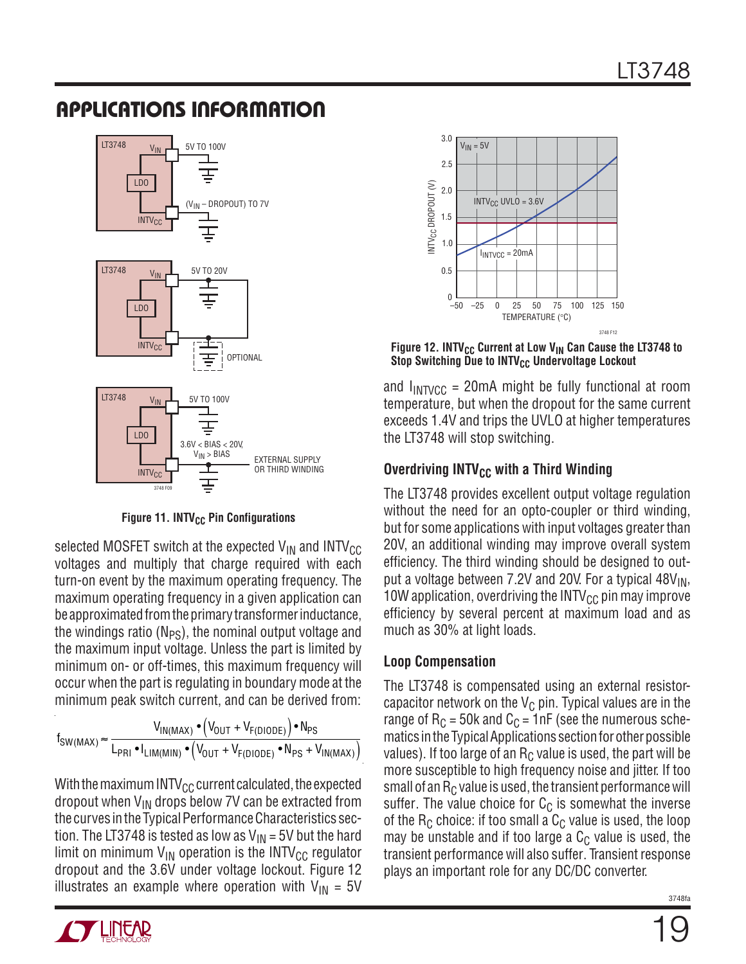

**Figure 11. INTV<sub>CC</sub> Pin Configurations** 

selected MOSFET switch at the expected  $V_{IN}$  and  $INTV_{CC}$ voltages and multiply that charge required with each turn-on event by the maximum operating frequency. The maximum operating frequency in a given application can be approximated from the primary transformer inductance, the windings ratio ( $N_{PS}$ ), the nominal output voltage and the maximum input voltage. Unless the part is limited by minimum on- or off-times, this maximum frequency will occur when the part is regulating in boundary mode at the minimum peak switch current, and can be derived from:

 $f_{SW(MAX)} \approx \frac{V_{IN(MAX)} \cdot (V_{OUT} + V_{F(DIODE)}) \cdot N_{PS}}{V_{IN(MAX)} \cdot (V_{OUT} + V_{F(DIODE)}) \cdot N_{PS}}$  $\mathsf{L}_{\mathsf{PRI}}\bullet \mathsf{I}_{\mathsf{LIM}(\mathsf{MIN})}\bullet \left(\mathsf{V_{OUT}}+\mathsf{V_{F(DIODE)}}\bullet \mathsf{N_{PS}}+\mathsf{V_{IN(MAX)}}\right)$ 

With the maximum INTV $_{\rm CC}$  current calculated, the expected dropout when  $V_{IN}$  drops below 7V can be extracted from the curves in the Typical Performance Characteristics section. The LT3748 is tested as low as  $V_{IN}$  = 5V but the hard limit on minimum  $V_{IN}$  operation is the INTV<sub>CC</sub> regulator dropout and the 3.6V under voltage lockout. Figure 12 illustrates an example where operation with  $V_{IN} = 5V$ 



Figure 12. INTV<sub>CC</sub> Current at Low V<sub>IN</sub> Can Cause the LT3748 to **Stop Switching Due to INTV<sub>CC</sub> Undervoltage Lockout** 

and  $I_{INTVCC}$  = 20mA might be fully functional at room temperature, but when the dropout for the same current exceeds 1.4V and trips the UVLO at higher temperatures the LT3748 will stop switching.

#### **Overdriving INTV<sub>CC</sub> with a Third Winding**

The LT3748 provides excellent output voltage regulation without the need for an opto-coupler or third winding, but for some applications with input voltages greater than 20V, an additional winding may improve overall system efficiency. The third winding should be designed to output a voltage between 7.2V and 20V. For a typical  $48V_{\text{IN}}$ , 10W application, overdriving the INTV $_{\text{CC}}$  pin may improve efficiency by several percent at maximum load and as much as 30% at light loads.

#### **Loop Compensation**

The LT3748 is compensated using an external resistorcapacitor network on the  $V_{\text{C}}$  pin. Typical values are in the range of  $R_C = 50k$  and  $C_C = 1nF$  (see the numerous schematics in the Typical Applications section for other possible values). If too large of an  $R<sub>C</sub>$  value is used, the part will be more susceptible to high frequency noise and jitter. If too small of an  $R<sub>C</sub>$  value is used, the transient performance will suffer. The value choice for  $C_{\text{C}}$  is somewhat the inverse of the  $R_C$  choice: if too small a  $C_C$  value is used, the loop may be unstable and if too large a  $C<sub>C</sub>$  value is used, the transient performance will also suffer. Transient response plays an important role for any DC/DC converter.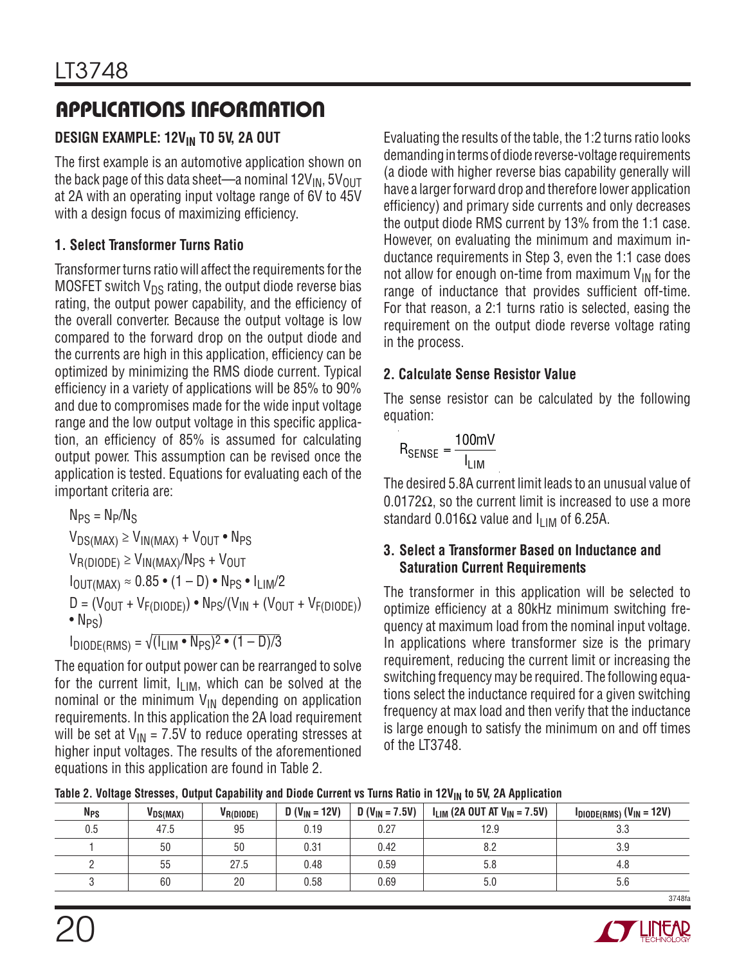### **DESIGN EXAMPLE: 12V<sub>IN</sub> TO 5V, 2A OUT**

The first example is an automotive application shown on the back page of this data sheet—a nominal  $12V_{IN}$ ,  $5V_{OUT}$ at 2A with an operating input voltage range of 6V to 45V with a design focus of maximizing efficiency.

#### **1. Select Transformer Turns Ratio**

Transformer turns ratio will affect the requirements for the MOSFET switch  $V_{DS}$  rating, the output diode reverse bias rating, the output power capability, and the efficiency of the overall converter. Because the output voltage is low compared to the forward drop on the output diode and the currents are high in this application, efficiency can be optimized by minimizing the RMS diode current. Typical efficiency in a variety of applications will be 85% to 90% and due to compromises made for the wide input voltage range and the low output voltage in this specific application, an efficiency of 85% is assumed for calculating output power. This assumption can be revised once the application is tested. Equations for evaluating each of the important criteria are:

 $N_{PS} = N_P/N_S$  $V_{DS(MAX)} \geq V_{IN(MAX)} + V_{OUIT} \cdot N_{PS}$  $V_{\text{R(DIODE)}} \geq V_{\text{IN(MAX)}}/N_{\text{PS}} + V_{\text{OUT}}$  $I_{\text{OUT}(MAX)} \approx 0.85 \cdot (1 - D) \cdot \text{N}_{PS} \cdot I_{\text{HM}}/2$  $D = (V_{OUT} + V_{F(DIODE)}) \cdot N_{PS}/(V_{IN} + (V_{OUT} + V_{F(DIODE)})$  $\bullet$  N<sub>PS</sub> $)$  $I_{\text{DIODE(RMS)}} = \sqrt{I_{\text{LIM}} \cdot N_{\text{PS}}^2 \cdot (1 - D)/3}$ 

The equation for output power can be rearranged to solve for the current limit,  $I_{LIM}$ , which can be solved at the nominal or the minimum  $V_{IN}$  depending on application requirements. In this application the 2A load requirement will be set at  $V_{IN}$  = 7.5V to reduce operating stresses at higher input voltages. The results of the aforementioned equations in this application are found in Table 2.

Evaluating the results of the table, the 1:2 turns ratio looks demanding in terms of diode reverse-voltage requirements (a diode with higher reverse bias capability generally will have a larger forward drop and therefore lower application efficiency) and primary side currents and only decreases the output diode RMS current by 13% from the 1:1 case. However, on evaluating the minimum and maximum inductance requirements in Step 3, even the 1:1 case does not allow for enough on-time from maximum  $V_{IN}$  for the range of inductance that provides sufficient off-time. For that reason, a 2:1 turns ratio is selected, easing the requirement on the output diode reverse voltage rating in the process.

#### **2. Calculate Sense Resistor Value**

The sense resistor can be calculated by the following equation:

$$
R_{\text{SENSE}} = \frac{100 \text{mV}}{I_{\text{LIM}}}
$$

The desired 5.8A current limit leads to an unusual value of  $0.0172\Omega$ , so the current limit is increased to use a more standard 0.016 $\Omega$  value and I<sub>LIM</sub> of 6.25A.

#### **3. Select a Transformer Based on Inductance and Saturation Current Requirements**

The transformer in this application will be selected to optimize efficiency at a 80kHz minimum switching frequency at maximum load from the nominal input voltage. In applications where transformer size is the primary requirement, reducing the current limit or increasing the switching frequency may be required. The following equations select the inductance required for a given switching frequency at max load and then verify that the inductance is large enough to satisfy the minimum on and off times of the LT3748.

| Table 2. Voltage Stresses, Output Capability and Diode Current vs Turns Ratio in 12V <sub>IN</sub> to 5V, 2A Application |  |  |  |  |
|--------------------------------------------------------------------------------------------------------------------------|--|--|--|--|
|--------------------------------------------------------------------------------------------------------------------------|--|--|--|--|

| <b>N<sub>PS</sub></b> | VDS(MAX) | $V_{R(DIODE)}$ | $D (V_{1N} = 12V)$ | $D (V_{IN} = 7.5V)$ | $I_{LIM}$ (2A OUT AT $V_{IN}$ = 7.5V) | $I_{DIODE(RMS)}$ (V <sub>IN</sub> = 12V) |
|-----------------------|----------|----------------|--------------------|---------------------|---------------------------------------|------------------------------------------|
| 0.5                   | 47.5     | 95             | 0.19               | 0.27                | 12.9                                  | 3.3                                      |
|                       | 50       | 50             | 0.31               | 0.42                | 8.2                                   | 3.9                                      |
|                       | 55       | 27.5           | 0.48               | 0.59                | 5.8                                   | 4.8                                      |
|                       | 60       | 20             | 0.58               | 0.69                | 5.0                                   | 5.6                                      |
|                       |          |                |                    |                     |                                       | 3748fs                                   |

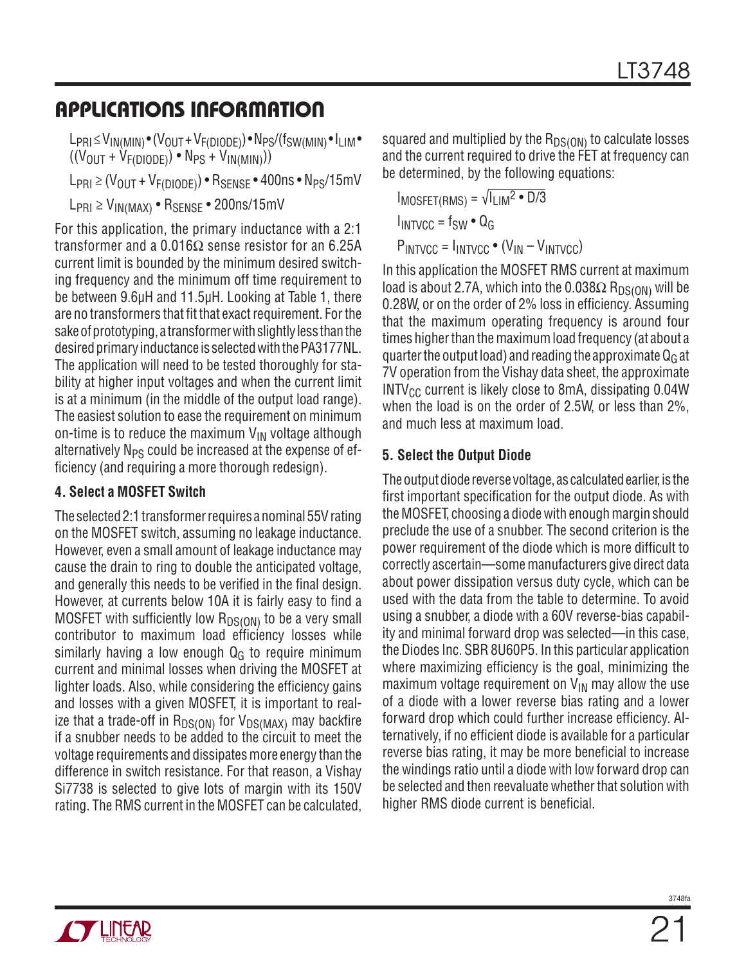$L_{\text{PRI}} \leq V_{\text{IN}}(M_{\text{IN}}) \cdot (V_{\text{OUT}} + V_{\text{F}}(D_{\text{ODE}})) \cdot \text{N}_{\text{PS}}/(\text{f}_{\text{SW}}(M_{\text{IN}}) \cdot \text{I}_{\text{LIM}} \cdot$  $((V<sub>OUT</sub> + V<sub>F(DIODE</sub>)) • N<sub>PS</sub> + V<sub>IN(MIN</sub>)))$ 

 $L_{\text{PRI}} \geq (V_{\text{OUT}} + V_{\text{F(DIODE)}}) \cdot R_{\text{SENSE}} \cdot 400 \text{ns} \cdot N_{\text{PS}}/15 \text{mV}$ 

 $L_{PRI} \geq V_{IN(MAX)}$  •  $R_{SENSE}$  • 200ns/15mV

For this application, the primary inductance with a 2:1 transformer and a 0.016 $\Omega$  sense resistor for an 6.25A current limit is bounded by the minimum desired switching frequency and the minimum off time requirement to be between 9.6μH and 11.5μH. Looking at Table 1, there are no transformers that fit that exact requirement. For the sake of prototyping, a transformer with slightly less than the desired primary inductance is selected with the PA3177NL. The application will need to be tested thoroughly for stability at higher input voltages and when the current limit is at a minimum (in the middle of the output load range). The easiest solution to ease the requirement on minimum on-time is to reduce the maximum  $V_{IN}$  voltage although alternatively N<sub>PS</sub> could be increased at the expense of efficiency (and requiring a more thorough redesign).

#### **4. Select a MOSFET Switch**

The selected 2:1 transformer requires a nominal 55V rating on the MOSFET switch, assuming no leakage inductance. However, even a small amount of leakage inductance may cause the drain to ring to double the anticipated voltage, and generally this needs to be verified in the final design. However, at currents below 10A it is fairly easy to find a MOSFET with sufficiently low  $R_{DS(ON)}$  to be a very small contributor to maximum load efficiency losses while similarly having a low enough  $Q<sub>G</sub>$  to require minimum current and minimal losses when driving the MOSFET at lighter loads. Also, while considering the efficiency gains and losses with a given MOSFET, it is important to realize that a trade-off in  $R_{DS(ON)}$  for  $V_{DS(MAX)}$  may backfire if a snubber needs to be added to the circuit to meet the voltage requirements and dissipates more energy than the difference in switch resistance. For that reason, a Vishay Si7738 is selected to give lots of margin with its 150V rating. The RMS current in the MOSFET can be calculated,

squared and multiplied by the  $R_{DS(ON)}$  to calculate losses and the current required to drive the FET at frequency can be determined, by the following equations:

 $I_{MOSFET(RMS)} = \sqrt{I_{LIM}^2 \cdot D/3}$  $I_{INTVCC} = f_{SW} \cdot Q_G$  $P_{INTVCC} = I_{INTVCC} \cdot (V_{IN} - V_{INTVCC})$ 

In this application the MOSFET RMS current at maximum load is about 2.7A, which into the  $0.038\Omega$  R<sub>DS(ON)</sub> will be 0.28W, or on the order of 2% loss in efficiency. Assuming that the maximum operating frequency is around four times higher than the maximum load frequency (at about a quarter the output load) and reading the approximate  $Q_G$  at 7V operation from the Vishay data sheet, the approximate  $INTV_{CC}$  current is likely close to 8mA, dissipating 0.04W when the load is on the order of 2.5W, or less than 2%, and much less at maximum load.

#### **5. Select the Output Diode**

The output diode reverse voltage, as calculated earlier, is the first important specification for the output diode. As with the MOSFET, choosing a diode with enough margin should preclude the use of a snubber. The second criterion is the power requirement of the diode which is more difficult to correctly ascertain—some manufacturers give direct data about power dissipation versus duty cycle, which can be used with the data from the table to determine. To avoid using a snubber, a diode with a 60V reverse-bias capability and minimal forward drop was selected—in this case, the Diodes Inc. SBR 8U60P5. In this particular application where maximizing efficiency is the goal, minimizing the maximum voltage requirement on  $V_{IN}$  may allow the use of a diode with a lower reverse bias rating and a lower forward drop which could further increase efficiency. Alternatively, if no efficient diode is available for a particular reverse bias rating, it may be more beneficial to increase the windings ratio until a diode with low forward drop can be selected and then reevaluate whether that solution with higher RMS diode current is beneficial.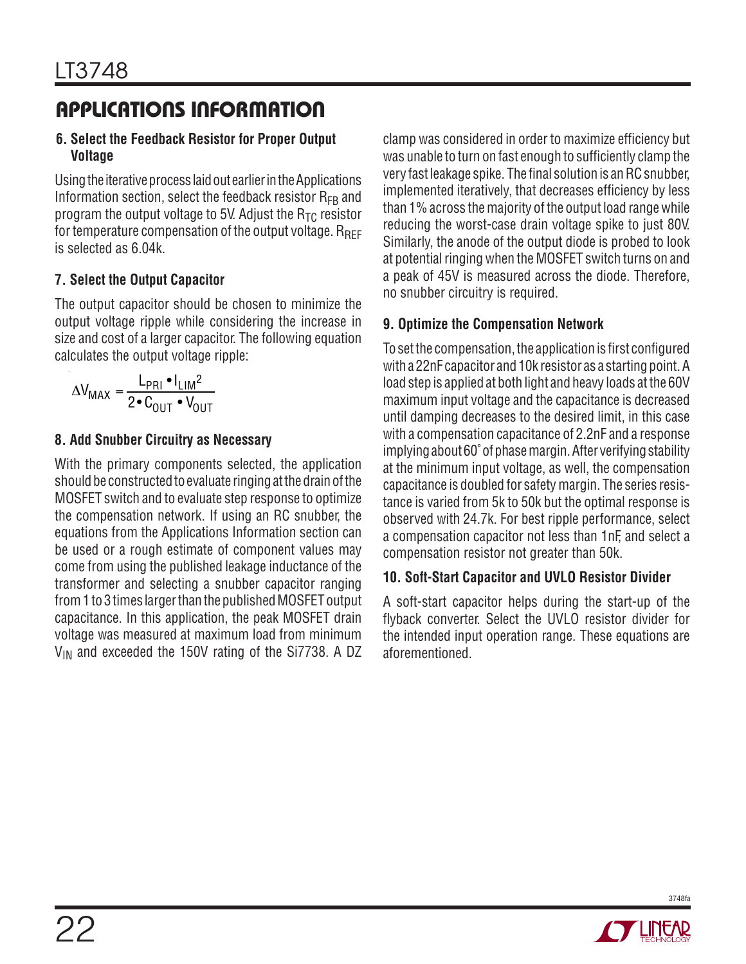#### **6. Select the Feedback Resistor for Proper Output Voltage**

Using the iterative process laid out earlier in the Applications Information section, select the feedback resistor  $R_{FB}$  and program the output voltage to 5V. Adjust the  $R_{TC}$  resistor for temperature compensation of the output voltage.  $R_{\text{RFF}}$ is selected as 6.04k.

#### **7. Select the Output Capacitor**

The output capacitor should be chosen to minimize the output voltage ripple while considering the increase in size and cost of a larger capacitor. The following equation calculates the output voltage ripple:

$$
\Delta V_{MAX} = \frac{L_{PRI} \cdot I_{LIM}^2}{2 \cdot C_{OUT} \cdot V_{OUT}}
$$

#### **8. Add Snubber Circuitry as Necessary**

With the primary components selected, the application should be constructed to evaluate ringing at the drain of the MOSFET switch and to evaluate step response to optimize the compensation network. If using an RC snubber, the equations from the Applications Information section can be used or a rough estimate of component values may come from using the published leakage inductance of the transformer and selecting a snubber capacitor ranging from 1 to 3 times larger than the published MOSFET output capacitance. In this application, the peak MOSFET drain voltage was measured at maximum load from minimum  $V_{IN}$  and exceeded the 150V rating of the Si7738. A DZ clamp was considered in order to maximize efficiency but was unable to turn on fast enough to sufficiently clamp the very fast leakage spike. The final solution is an RC snubber, implemented iteratively, that decreases efficiency by less than 1% across the majority of the output load range while reducing the worst-case drain voltage spike to just 80V. Similarly, the anode of the output diode is probed to look at potential ringing when the MOSFET switch turns on and a peak of 45V is measured across the diode. Therefore, no snubber circuitry is required.

#### **9. Optimize the Compensation Network**

To set the compensation, the application is first configured with a 22nF capacitor and 10k resistor as a starting point. A load step is applied at both light and heavy loads at the 60V maximum input voltage and the capacitance is decreased until damping decreases to the desired limit, in this case with a compensation capacitance of 2.2nF and a response implying about 60˚ of phase margin. After verifying stability at the minimum input voltage, as well, the compensation capacitance is doubled for safety margin. The series resistance is varied from 5k to 50k but the optimal response is observed with 24.7k. For best ripple performance, select a compensation capacitor not less than 1nF, and select a compensation resistor not greater than 50k.

#### **10. Soft-Start Capacitor and UVLO Resistor Divider**

A soft-start capacitor helps during the start-up of the flyback converter. Select the UVLO resistor divider for the intended input operation range. These equations are aforementioned.

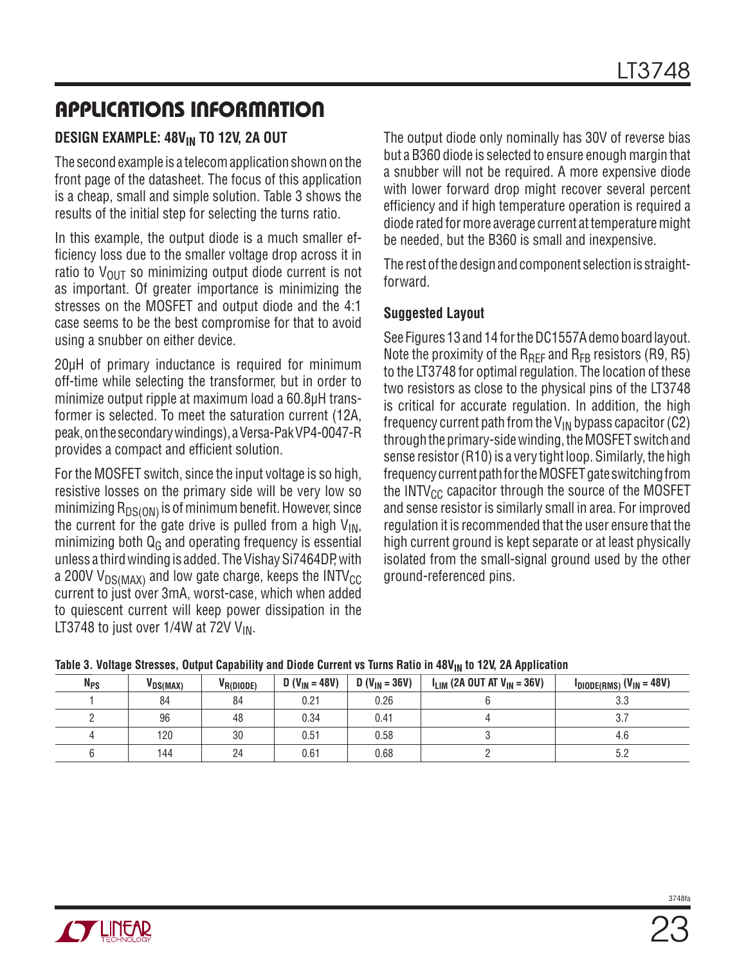#### **DESIGN EXAMPLE: 48VIN TO 12V, 2A OUT**

The second example is a telecom application shown on the front page of the datasheet. The focus of this application is a cheap, small and simple solution. Table 3 shows the results of the initial step for selecting the turns ratio.

In this example, the output diode is a much smaller efficiency loss due to the smaller voltage drop across it in ratio to  $V_{OUT}$  so minimizing output diode current is not as important. Of greater importance is minimizing the stresses on the MOSFET and output diode and the 4:1 case seems to be the best compromise for that to avoid using a snubber on either device.

20μH of primary inductance is required for minimum off-time while selecting the transformer, but in order to minimize output ripple at maximum load a 60.8μH transformer is selected. To meet the saturation current (12A, peak, on the secondary windings), a Versa-Pak VP4-0047-R provides a compact and efficient solution.

For the MOSFET switch, since the input voltage is so high, resistive losses on the primary side will be very low so minimizing  $R_{DS(ON)}$  is of minimum benefit. However, since the current for the gate drive is pulled from a high  $V_{IN}$ , minimizing both  $Q_G$  and operating frequency is essential unless a third winding is added. The Vishay Si7464DP, with a 200V  $V_{DS(MAX)}$  and low gate charge, keeps the INTV<sub>CC</sub> current to just over 3mA, worst-case, which when added to quiescent current will keep power dissipation in the LT3748 to just over  $1/4W$  at 72V V<sub>IN</sub>.

The output diode only nominally has 30V of reverse bias but a B360 diode is selected to ensure enough margin that a snubber will not be required. A more expensive diode with lower forward drop might recover several percent efficiency and if high temperature operation is required a diode rated for more average current at temperature might be needed, but the B360 is small and inexpensive.

The rest of the design and component selection is straightforward.

#### **Suggested Layout**

See Figures 13 and 14 for the DC1557A demo board layout. Note the proximity of the  $R_{\text{RFE}}$  and  $R_{\text{FB}}$  resistors (R9, R5) to the LT3748 for optimal regulation. The location of these two resistors as close to the physical pins of the LT3748 is critical for accurate regulation. In addition, the high frequency current path from the V<sub>IN</sub> bypass capacitor (C2) through the primary-side winding, the MOSFET switch and sense resistor (R10) is a very tight loop. Similarly, the high frequency current path for the MOSFET gate switching from the INTV $_{CC}$  capacitor through the source of the MOSFET and sense resistor is similarly small in area. For improved regulation it is recommended that the user ensure that the high current ground is kept separate or at least physically isolated from the small-signal ground used by the other ground-referenced pins.

|  | Table 3. Voltage Stresses, Output Capability and Diode Current vs Turns Ratio in 48V <sub>IN</sub> to 12V, 2A Application |
|--|---------------------------------------------------------------------------------------------------------------------------|
|--|---------------------------------------------------------------------------------------------------------------------------|

| <b>N<sub>PS</sub></b> | VDS(MAX) | V <sub>R(DIODE)</sub> | $D (V_{IN} = 48V)$ | $D (V_{IN} = 36V)$ | $I_{LIM}$ (2A OUT AT $V_{IN}$ = 36V) | $I_{DIODE(RMS)}$ (V <sub>IN</sub> = 48V) |
|-----------------------|----------|-----------------------|--------------------|--------------------|--------------------------------------|------------------------------------------|
|                       | 84       | 84                    | 0.21               | 0.26               |                                      | n n<br>ა.ა                               |
|                       | 96       | 48                    | 0.34               | 0.41               |                                      |                                          |
|                       | 120      | 30                    | 0.51               | 0.58               |                                      | -4.6                                     |
|                       | 144      | 24                    | 0.61               | 0.68               |                                      |                                          |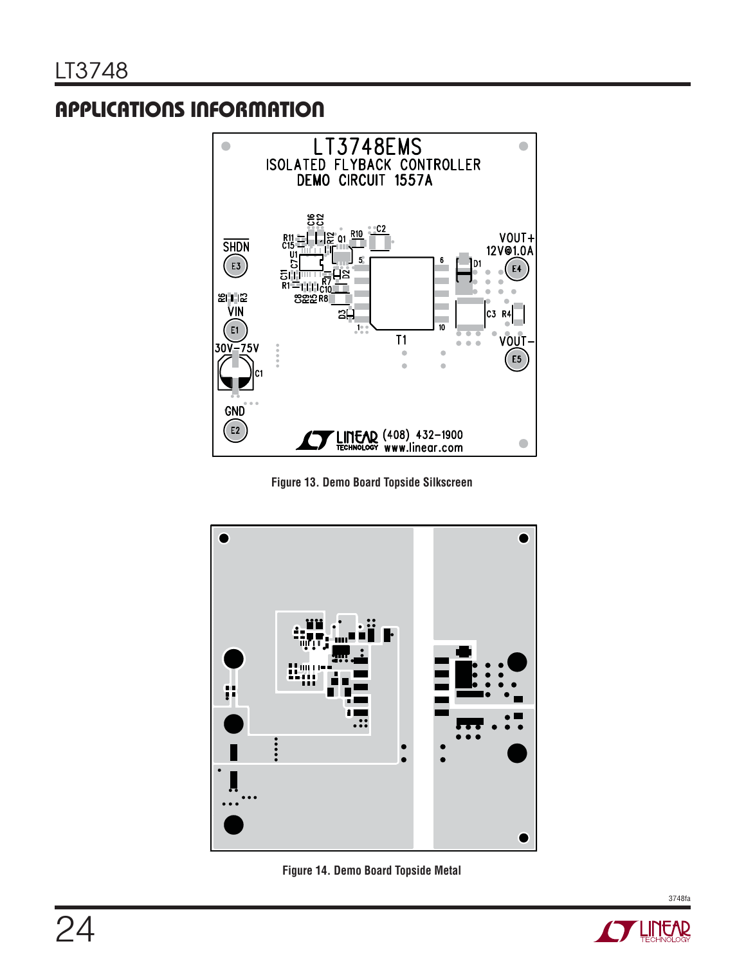

**Figure 13. Demo Board Topside Silkscreen**





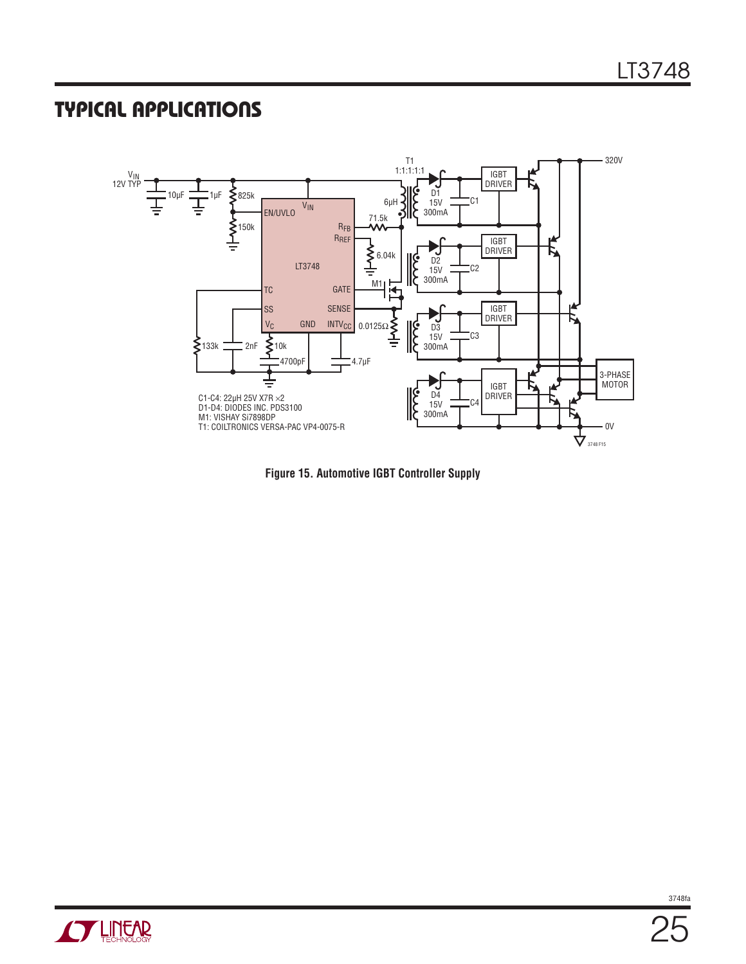### **TYPICAL APPLICATIONS**



**Figure 15. Automotive IGBT Controller Supply**

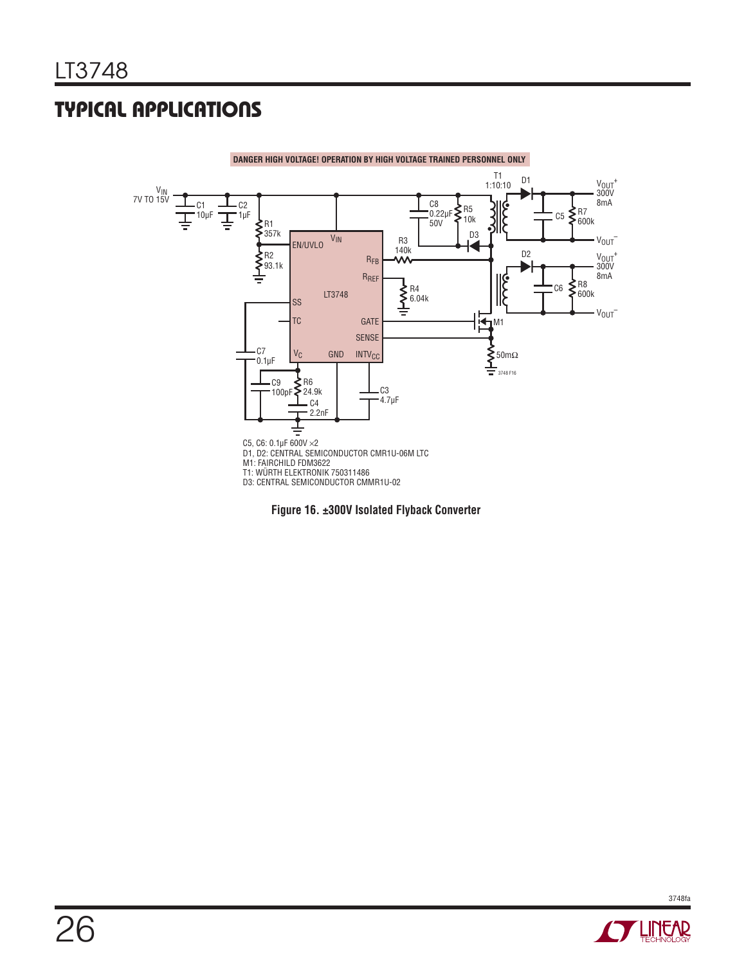# **TYPICAL APPLICATIONS**



**Figure 16. ±300V Isolated Flyback Converter**

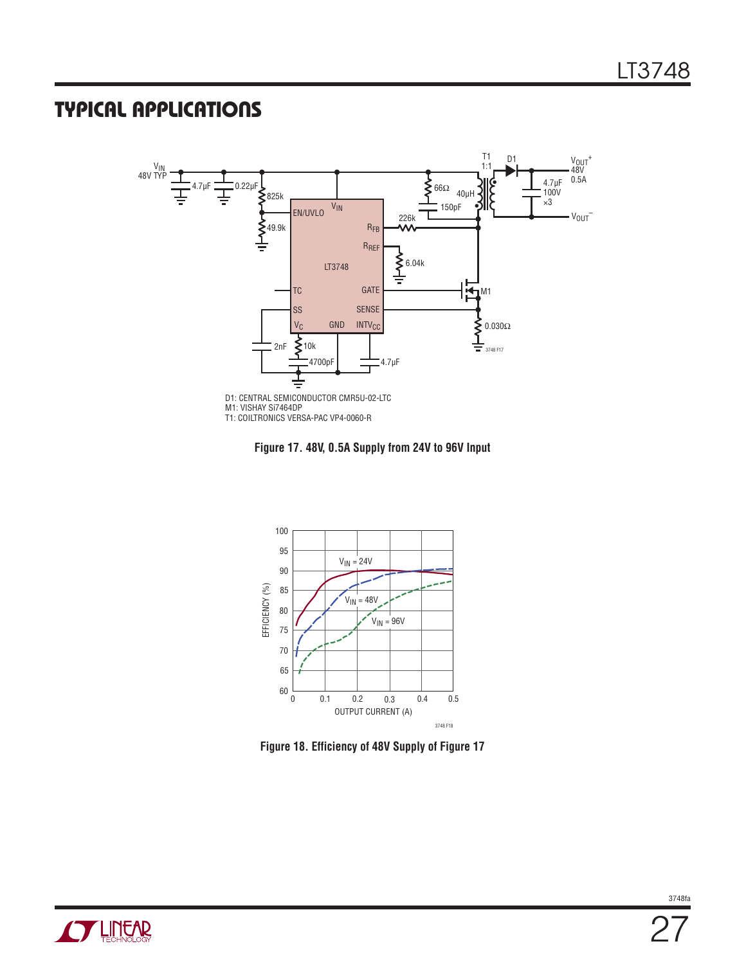### **TYPICAL APPLICATIONS**



**Figure 17. 48V, 0.5A Supply from 24V to 96V Input**



**Figure 18. Efficiency of 48V Supply of Figure 17**

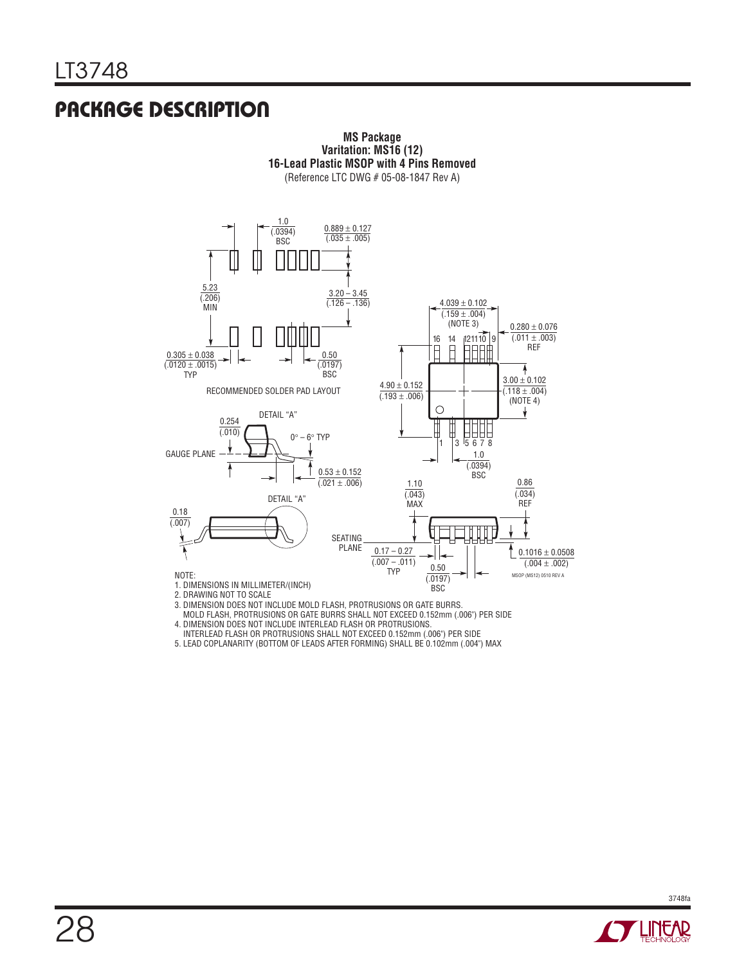### **PACKAGE DESCRIPTION**



**MS Package**

MOLD FLASH, PROTRUSIONS OR GATE BURRS SHALL NOT EXCEED 0.152mm (.006") PER SIDE

4. DIMENSION DOES NOT INCLUDE INTERLEAD FLASH OR PROTRUSIONS.

INTERLEAD FLASH OR PROTRUSIONS SHALL NOT EXCEED 0.152mm (.006") PER SIDE

5. LEAD COPLANARITY (BOTTOM OF LEADS AFTER FORMING) SHALL BE 0.102mm (.004") MAX

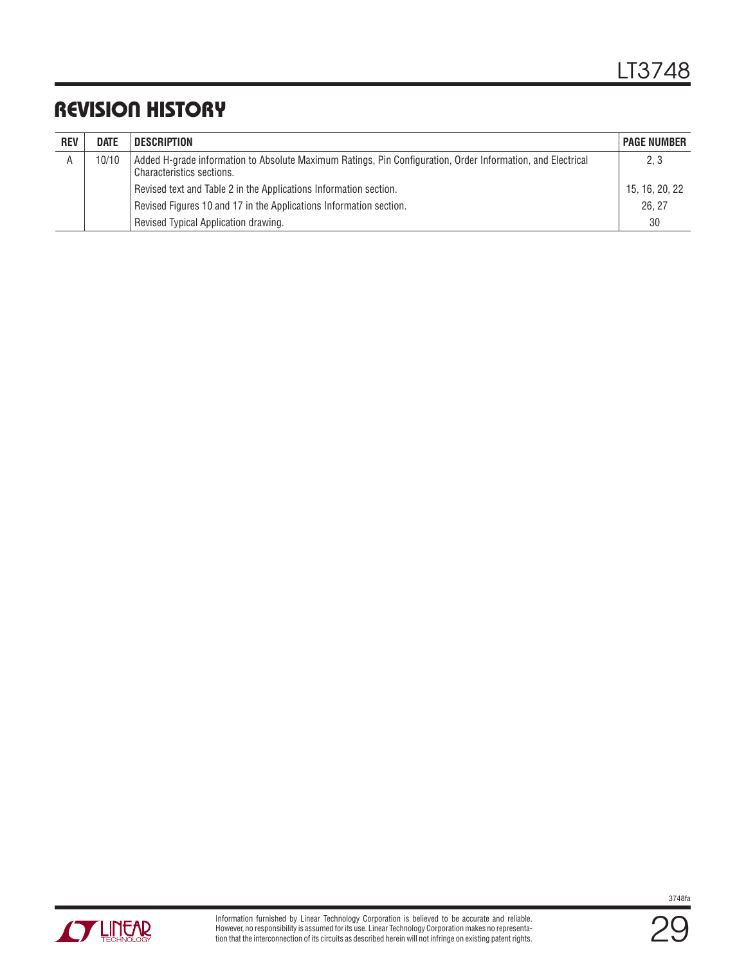### **REVISION HISTORY**

| <b>REV</b> | <b>DATE</b> | <b>DESCRIPTION</b>                                                                                                                       | <b>PAGE NUMBER</b> |
|------------|-------------|------------------------------------------------------------------------------------------------------------------------------------------|--------------------|
| A          | 10/10       | Added H-grade information to Absolute Maximum Ratings, Pin Configuration, Order Information, and Electrical<br>Characteristics sections. | 2, 3               |
|            |             | Revised text and Table 2 in the Applications Information section.                                                                        | 15, 16, 20, 22     |
|            |             | Revised Figures 10 and 17 in the Applications Information section.                                                                       | 26.27              |
|            |             | Revised Typical Application drawing.                                                                                                     | 30                 |